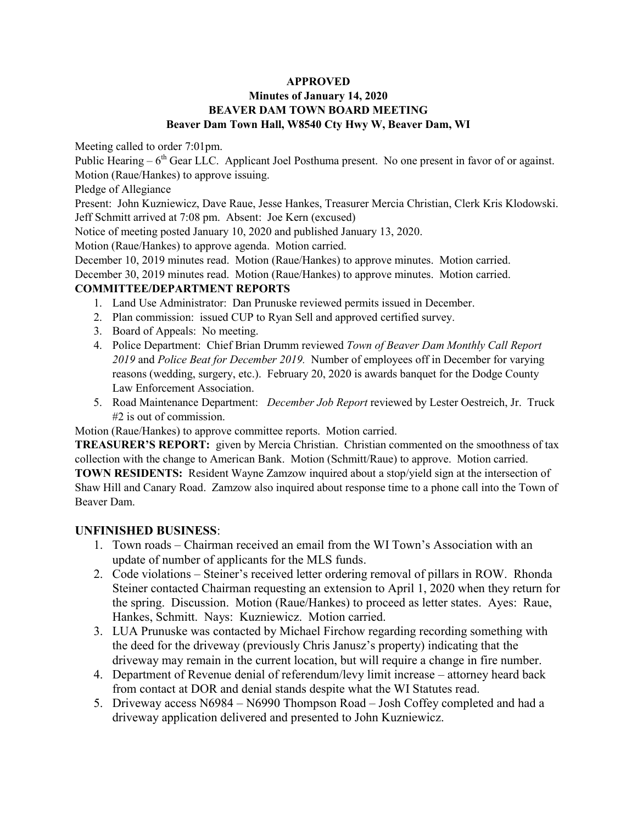## **Minutes of January 14, 2020 BEAVER DAM TOWN BOARD MEETING Beaver Dam Town Hall, W8540 Cty Hwy W, Beaver Dam, WI**

Meeting called to order 7:01pm.

Public Hearing  $-6<sup>th</sup>$  Gear LLC. Applicant Joel Posthuma present. No one present in favor of or against. Motion (Raue/Hankes) to approve issuing.

Pledge of Allegiance

Present: John Kuzniewicz, Dave Raue, Jesse Hankes, Treasurer Mercia Christian, Clerk Kris Klodowski. Jeff Schmitt arrived at 7:08 pm. Absent: Joe Kern (excused)

Notice of meeting posted January 10, 2020 and published January 13, 2020.

Motion (Raue/Hankes) to approve agenda. Motion carried.

December 10, 2019 minutes read. Motion (Raue/Hankes) to approve minutes. Motion carried.

December 30, 2019 minutes read. Motion (Raue/Hankes) to approve minutes. Motion carried.

### **COMMITTEE/DEPARTMENT REPORTS**

- 1. Land Use Administrator: Dan Prunuske reviewed permits issued in December.
- 2. Plan commission: issued CUP to Ryan Sell and approved certified survey.
- 3. Board of Appeals: No meeting.
- 4. Police Department: Chief Brian Drumm reviewed *Town of Beaver Dam Monthly Call Report 2019* and *Police Beat for December 2019.* Number of employees off in December for varying reasons (wedding, surgery, etc.). February 20, 2020 is awards banquet for the Dodge County Law Enforcement Association.
- 5. Road Maintenance Department: *December Job Report* reviewed by Lester Oestreich, Jr. Truck #2 is out of commission.

Motion (Raue/Hankes) to approve committee reports. Motion carried.

**TREASURER'S REPORT:** given by Mercia Christian. Christian commented on the smoothness of tax collection with the change to American Bank. Motion (Schmitt/Raue) to approve. Motion carried. **TOWN RESIDENTS:** Resident Wayne Zamzow inquired about a stop/yield sign at the intersection of Shaw Hill and Canary Road. Zamzow also inquired about response time to a phone call into the Town of Beaver Dam.

## **UNFINISHED BUSINESS**:

- 1. Town roads Chairman received an email from the WI Town's Association with an update of number of applicants for the MLS funds.
- 2. Code violations Steiner's received letter ordering removal of pillars in ROW. Rhonda Steiner contacted Chairman requesting an extension to April 1, 2020 when they return for the spring. Discussion. Motion (Raue/Hankes) to proceed as letter states. Ayes: Raue, Hankes, Schmitt. Nays: Kuzniewicz. Motion carried.
- 3. LUA Prunuske was contacted by Michael Firchow regarding recording something with the deed for the driveway (previously Chris Janusz's property) indicating that the driveway may remain in the current location, but will require a change in fire number.
- 4. Department of Revenue denial of referendum/levy limit increase attorney heard back from contact at DOR and denial stands despite what the WI Statutes read.
- 5. Driveway access N6984 N6990 Thompson Road Josh Coffey completed and had a driveway application delivered and presented to John Kuzniewicz.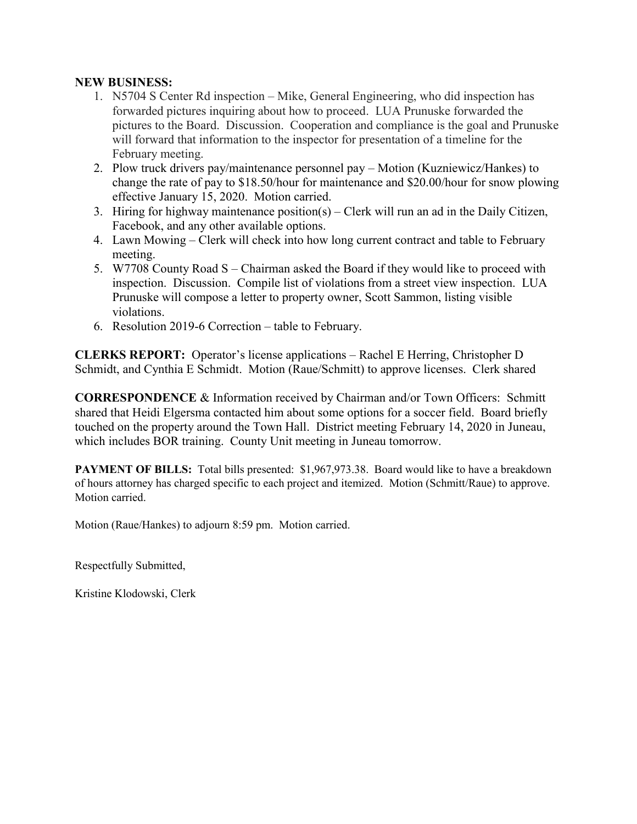## **NEW BUSINESS:**

- 1. N5704 S Center Rd inspection Mike, General Engineering, who did inspection has forwarded pictures inquiring about how to proceed. LUA Prunuske forwarded the pictures to the Board. Discussion. Cooperation and compliance is the goal and Prunuske will forward that information to the inspector for presentation of a timeline for the February meeting.
- 2. Plow truck drivers pay/maintenance personnel pay Motion (Kuzniewicz/Hankes) to change the rate of pay to \$18.50/hour for maintenance and \$20.00/hour for snow plowing effective January 15, 2020. Motion carried.
- 3. Hiring for highway maintenance position(s) Clerk will run an ad in the Daily Citizen, Facebook, and any other available options.
- 4. Lawn Mowing Clerk will check into how long current contract and table to February meeting.
- 5. W7708 County Road S Chairman asked the Board if they would like to proceed with inspection. Discussion. Compile list of violations from a street view inspection. LUA Prunuske will compose a letter to property owner, Scott Sammon, listing visible violations.
- 6. Resolution 2019-6 Correction table to February.

**CLERKS REPORT:** Operator's license applications – Rachel E Herring, Christopher D Schmidt, and Cynthia E Schmidt. Motion (Raue/Schmitt) to approve licenses. Clerk shared

**CORRESPONDENCE** & Information received by Chairman and/or Town Officers: Schmitt shared that Heidi Elgersma contacted him about some options for a soccer field. Board briefly touched on the property around the Town Hall. District meeting February 14, 2020 in Juneau, which includes BOR training. County Unit meeting in Juneau tomorrow.

**PAYMENT OF BILLS:** Total bills presented: \$1,967,973.38. Board would like to have a breakdown of hours attorney has charged specific to each project and itemized. Motion (Schmitt/Raue) to approve. Motion carried.

Motion (Raue/Hankes) to adjourn 8:59 pm. Motion carried.

Respectfully Submitted,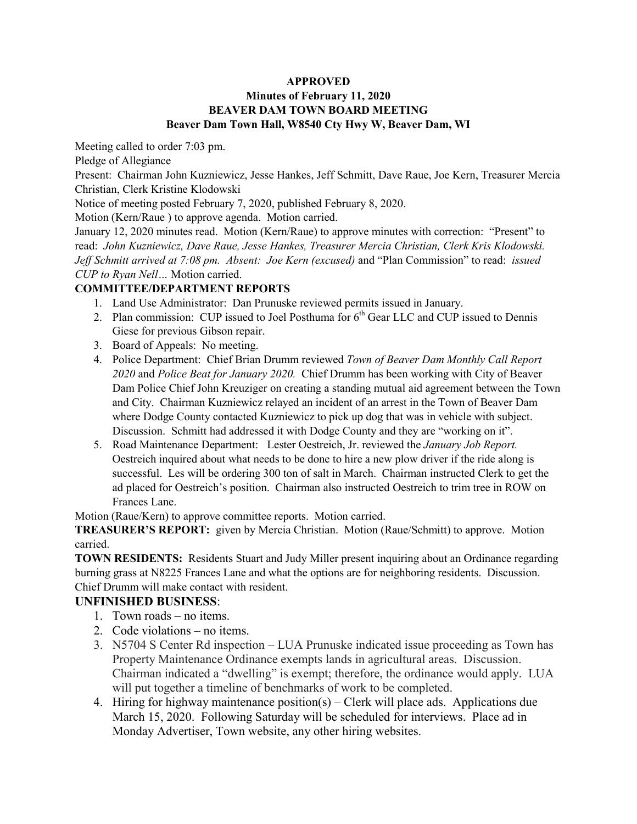## **Minutes of February 11, 2020 BEAVER DAM TOWN BOARD MEETING Beaver Dam Town Hall, W8540 Cty Hwy W, Beaver Dam, WI**

Meeting called to order 7:03 pm.

Pledge of Allegiance

Present: Chairman John Kuzniewicz, Jesse Hankes, Jeff Schmitt, Dave Raue, Joe Kern, Treasurer Mercia Christian, Clerk Kristine Klodowski

Notice of meeting posted February 7, 2020, published February 8, 2020.

Motion (Kern/Raue ) to approve agenda. Motion carried.

January 12, 2020 minutes read. Motion (Kern/Raue) to approve minutes with correction: "Present" to read: *John Kuzniewicz, Dave Raue, Jesse Hankes, Treasurer Mercia Christian, Clerk Kris Klodowski. Jeff Schmitt arrived at 7:08 pm. Absent: Joe Kern (excused)* and "Plan Commission" to read: *issued CUP to Ryan Nell…* Motion carried.

## **COMMITTEE/DEPARTMENT REPORTS**

- 1. Land Use Administrator: Dan Prunuske reviewed permits issued in January.
- 2. Plan commission: CUP issued to Joel Posthuma for  $6<sup>th</sup>$  Gear LLC and CUP issued to Dennis Giese for previous Gibson repair.
- 3. Board of Appeals: No meeting.
- 4. Police Department: Chief Brian Drumm reviewed *Town of Beaver Dam Monthly Call Report 2020* and *Police Beat for January 2020.* Chief Drumm has been working with City of Beaver Dam Police Chief John Kreuziger on creating a standing mutual aid agreement between the Town and City. Chairman Kuzniewicz relayed an incident of an arrest in the Town of Beaver Dam where Dodge County contacted Kuzniewicz to pick up dog that was in vehicle with subject. Discussion. Schmitt had addressed it with Dodge County and they are "working on it".
- 5. Road Maintenance Department: Lester Oestreich, Jr. reviewed the *January Job Report.* Oestreich inquired about what needs to be done to hire a new plow driver if the ride along is successful. Les will be ordering 300 ton of salt in March. Chairman instructed Clerk to get the ad placed for Oestreich's position. Chairman also instructed Oestreich to trim tree in ROW on Frances Lane.

Motion (Raue/Kern) to approve committee reports. Motion carried.

**TREASURER'S REPORT:** given by Mercia Christian. Motion (Raue/Schmitt) to approve. Motion carried.

**TOWN RESIDENTS:** Residents Stuart and Judy Miller present inquiring about an Ordinance regarding burning grass at N8225 Frances Lane and what the options are for neighboring residents. Discussion. Chief Drumm will make contact with resident.

# **UNFINISHED BUSINESS**:

- 1. Town roads no items.
- 2. Code violations no items.
- 3. N5704 S Center Rd inspection LUA Prunuske indicated issue proceeding as Town has Property Maintenance Ordinance exempts lands in agricultural areas. Discussion. Chairman indicated a "dwelling" is exempt; therefore, the ordinance would apply. LUA will put together a timeline of benchmarks of work to be completed.
- 4. Hiring for highway maintenance position(s) Clerk will place ads. Applications due March 15, 2020. Following Saturday will be scheduled for interviews. Place ad in Monday Advertiser, Town website, any other hiring websites.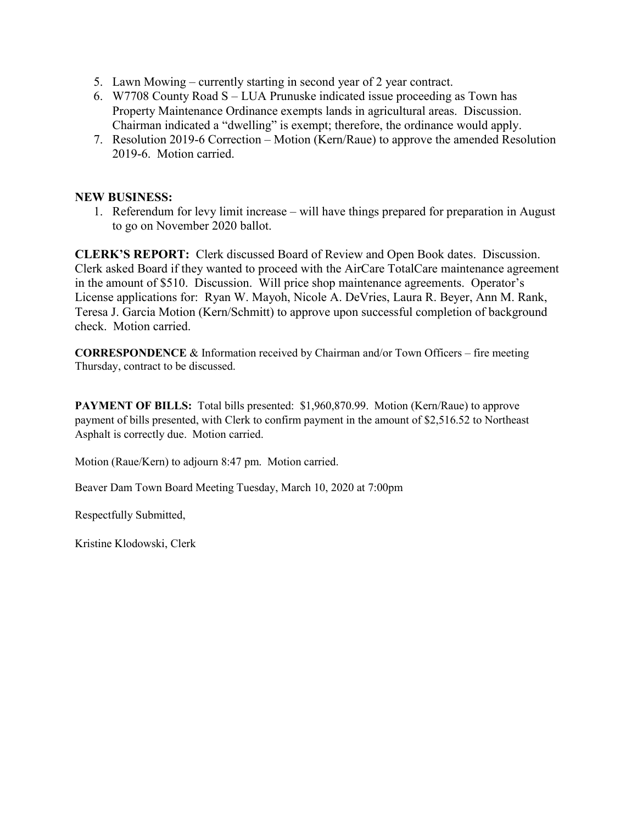- 5. Lawn Mowing currently starting in second year of 2 year contract.
- 6. W7708 County Road S LUA Prunuske indicated issue proceeding as Town has Property Maintenance Ordinance exempts lands in agricultural areas. Discussion. Chairman indicated a "dwelling" is exempt; therefore, the ordinance would apply.
- 7. Resolution 2019-6 Correction Motion (Kern/Raue) to approve the amended Resolution 2019-6. Motion carried.

## **NEW BUSINESS:**

1. Referendum for levy limit increase – will have things prepared for preparation in August to go on November 2020 ballot.

**CLERK'S REPORT:** Clerk discussed Board of Review and Open Book dates. Discussion. Clerk asked Board if they wanted to proceed with the AirCare TotalCare maintenance agreement in the amount of \$510. Discussion. Will price shop maintenance agreements. Operator's License applications for: Ryan W. Mayoh, Nicole A. DeVries, Laura R. Beyer, Ann M. Rank, Teresa J. Garcia Motion (Kern/Schmitt) to approve upon successful completion of background check. Motion carried.

**CORRESPONDENCE** & Information received by Chairman and/or Town Officers – fire meeting Thursday, contract to be discussed.

**PAYMENT OF BILLS:** Total bills presented: \$1,960,870.99. Motion (Kern/Raue) to approve payment of bills presented, with Clerk to confirm payment in the amount of \$2,516.52 to Northeast Asphalt is correctly due. Motion carried.

Motion (Raue/Kern) to adjourn 8:47 pm. Motion carried.

Beaver Dam Town Board Meeting Tuesday, March 10, 2020 at 7:00pm

Respectfully Submitted,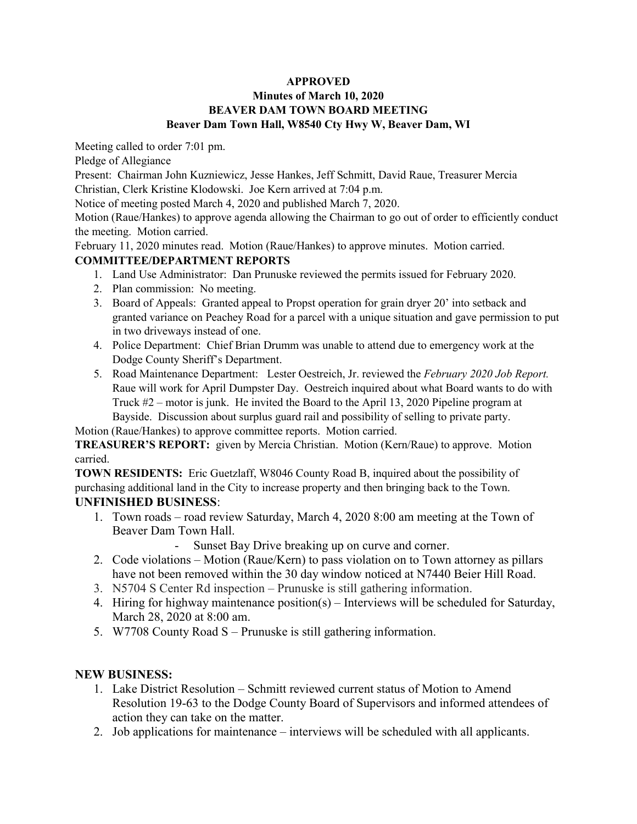## **Minutes of March 10, 2020 BEAVER DAM TOWN BOARD MEETING Beaver Dam Town Hall, W8540 Cty Hwy W, Beaver Dam, WI**

Meeting called to order 7:01 pm.

Pledge of Allegiance

Present: Chairman John Kuzniewicz, Jesse Hankes, Jeff Schmitt, David Raue, Treasurer Mercia Christian, Clerk Kristine Klodowski. Joe Kern arrived at 7:04 p.m.

Notice of meeting posted March 4, 2020 and published March 7, 2020.

Motion (Raue/Hankes) to approve agenda allowing the Chairman to go out of order to efficiently conduct the meeting. Motion carried.

February 11, 2020 minutes read. Motion (Raue/Hankes) to approve minutes. Motion carried. **COMMITTEE/DEPARTMENT REPORTS** 

- 1. Land Use Administrator: Dan Prunuske reviewed the permits issued for February 2020.
- 2. Plan commission: No meeting.
- 3. Board of Appeals: Granted appeal to Propst operation for grain dryer 20' into setback and granted variance on Peachey Road for a parcel with a unique situation and gave permission to put in two driveways instead of one.
- 4. Police Department: Chief Brian Drumm was unable to attend due to emergency work at the Dodge County Sheriff's Department.
- 5. Road Maintenance Department: Lester Oestreich, Jr. reviewed the *February 2020 Job Report.*  Raue will work for April Dumpster Day. Oestreich inquired about what Board wants to do with Truck #2 – motor is junk. He invited the Board to the April 13, 2020 Pipeline program at Bayside. Discussion about surplus guard rail and possibility of selling to private party.

Motion (Raue/Hankes) to approve committee reports. Motion carried.

**TREASURER'S REPORT:** given by Mercia Christian. Motion (Kern/Raue) to approve. Motion carried.

**TOWN RESIDENTS:** Eric Guetzlaff, W8046 County Road B, inquired about the possibility of purchasing additional land in the City to increase property and then bringing back to the Town. **UNFINISHED BUSINESS**:

- 1. Town roads road review Saturday, March 4, 2020 8:00 am meeting at the Town of Beaver Dam Town Hall.
	- Sunset Bay Drive breaking up on curve and corner.
- 2. Code violations Motion (Raue/Kern) to pass violation on to Town attorney as pillars have not been removed within the 30 day window noticed at N7440 Beier Hill Road.
- 3. N5704 S Center Rd inspection Prunuske is still gathering information.
- 4. Hiring for highway maintenance position(s) Interviews will be scheduled for Saturday, March 28, 2020 at 8:00 am.
- 5. W7708 County Road S Prunuske is still gathering information.

# **NEW BUSINESS:**

- 1. Lake District Resolution Schmitt reviewed current status of Motion to Amend Resolution 19-63 to the Dodge County Board of Supervisors and informed attendees of action they can take on the matter.
- 2. Job applications for maintenance interviews will be scheduled with all applicants.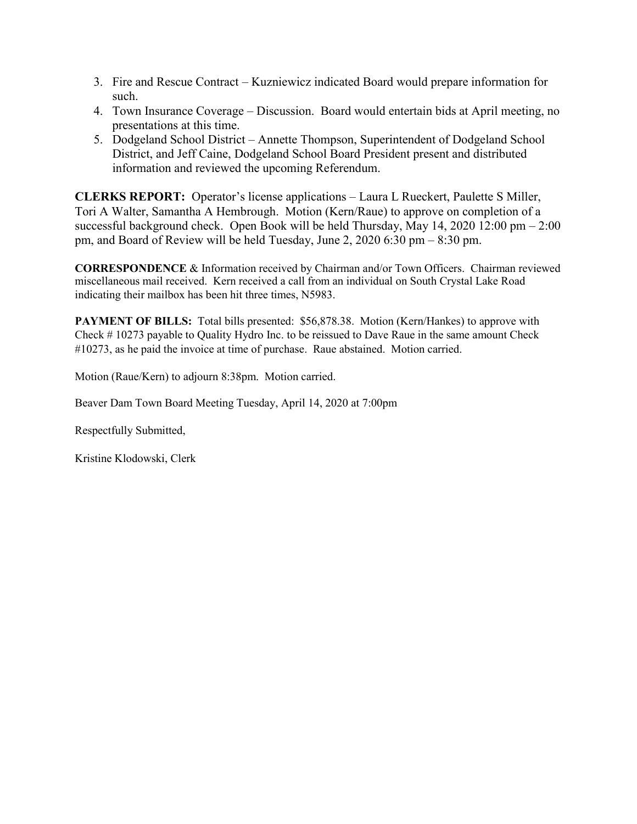- 3. Fire and Rescue Contract Kuzniewicz indicated Board would prepare information for such.
- 4. Town Insurance Coverage Discussion. Board would entertain bids at April meeting, no presentations at this time.
- 5. Dodgeland School District Annette Thompson, Superintendent of Dodgeland School District, and Jeff Caine, Dodgeland School Board President present and distributed information and reviewed the upcoming Referendum.

**CLERKS REPORT:** Operator's license applications – Laura L Rueckert, Paulette S Miller, Tori A Walter, Samantha A Hembrough. Motion (Kern/Raue) to approve on completion of a successful background check. Open Book will be held Thursday, May  $14$ ,  $2020$   $12:00$  pm  $-2:00$ pm, and Board of Review will be held Tuesday, June 2, 2020 6:30 pm – 8:30 pm.

**CORRESPONDENCE** & Information received by Chairman and/or Town Officers. Chairman reviewed miscellaneous mail received. Kern received a call from an individual on South Crystal Lake Road indicating their mailbox has been hit three times, N5983.

**PAYMENT OF BILLS:** Total bills presented: \$56,878.38. Motion (Kern/Hankes) to approve with Check # 10273 payable to Quality Hydro Inc. to be reissued to Dave Raue in the same amount Check #10273, as he paid the invoice at time of purchase. Raue abstained. Motion carried.

Motion (Raue/Kern) to adjourn 8:38pm. Motion carried.

Beaver Dam Town Board Meeting Tuesday, April 14, 2020 at 7:00pm

Respectfully Submitted,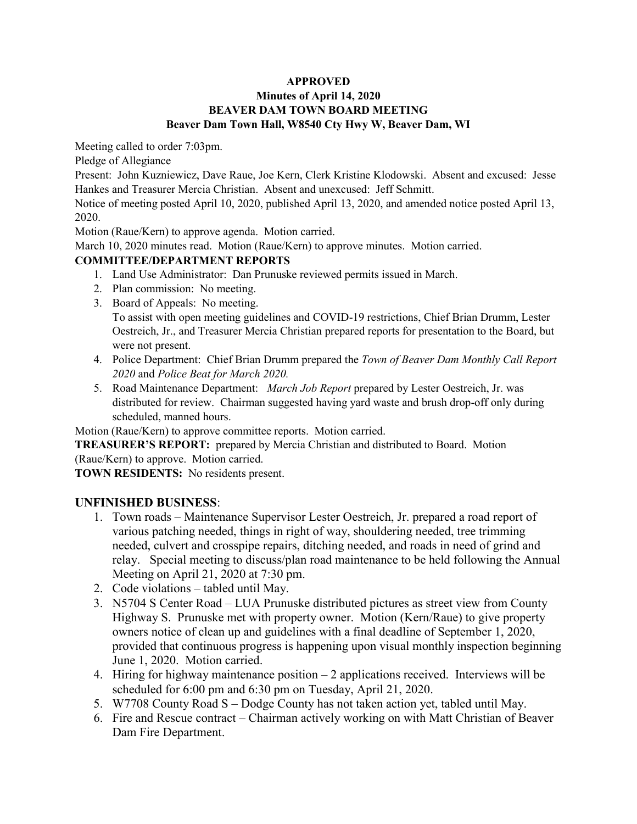## **Minutes of April 14, 2020 BEAVER DAM TOWN BOARD MEETING Beaver Dam Town Hall, W8540 Cty Hwy W, Beaver Dam, WI**

Meeting called to order 7:03pm.

Pledge of Allegiance

Present: John Kuzniewicz, Dave Raue, Joe Kern, Clerk Kristine Klodowski. Absent and excused: Jesse Hankes and Treasurer Mercia Christian. Absent and unexcused: Jeff Schmitt.

Notice of meeting posted April 10, 2020, published April 13, 2020, and amended notice posted April 13, 2020.

Motion (Raue/Kern) to approve agenda. Motion carried.

March 10, 2020 minutes read. Motion (Raue/Kern) to approve minutes. Motion carried.

## **COMMITTEE/DEPARTMENT REPORTS**

- 1. Land Use Administrator: Dan Prunuske reviewed permits issued in March.
- 2. Plan commission: No meeting.
- 3. Board of Appeals: No meeting. To assist with open meeting guidelines and COVID-19 restrictions, Chief Brian Drumm, Lester Oestreich, Jr., and Treasurer Mercia Christian prepared reports for presentation to the Board, but were not present.
- 4. Police Department: Chief Brian Drumm prepared the *Town of Beaver Dam Monthly Call Report 2020* and *Police Beat for March 2020.*
- 5. Road Maintenance Department: *March Job Report* prepared by Lester Oestreich, Jr. was distributed for review. Chairman suggested having yard waste and brush drop-off only during scheduled, manned hours.

Motion (Raue/Kern) to approve committee reports. Motion carried.

**TREASURER'S REPORT:** prepared by Mercia Christian and distributed to Board. Motion (Raue/Kern) to approve. Motion carried.

**TOWN RESIDENTS:** No residents present.

## **UNFINISHED BUSINESS**:

- 1. Town roads Maintenance Supervisor Lester Oestreich, Jr. prepared a road report of various patching needed, things in right of way, shouldering needed, tree trimming needed, culvert and crosspipe repairs, ditching needed, and roads in need of grind and relay. Special meeting to discuss/plan road maintenance to be held following the Annual Meeting on April 21, 2020 at 7:30 pm.
- 2. Code violations tabled until May.
- 3. N5704 S Center Road LUA Prunuske distributed pictures as street view from County Highway S. Prunuske met with property owner. Motion (Kern/Raue) to give property owners notice of clean up and guidelines with a final deadline of September 1, 2020, provided that continuous progress is happening upon visual monthly inspection beginning June 1, 2020. Motion carried.
- 4. Hiring for highway maintenance position 2 applications received. Interviews will be scheduled for 6:00 pm and 6:30 pm on Tuesday, April 21, 2020.
- 5. W7708 County Road S Dodge County has not taken action yet, tabled until May.
- 6. Fire and Rescue contract Chairman actively working on with Matt Christian of Beaver Dam Fire Department.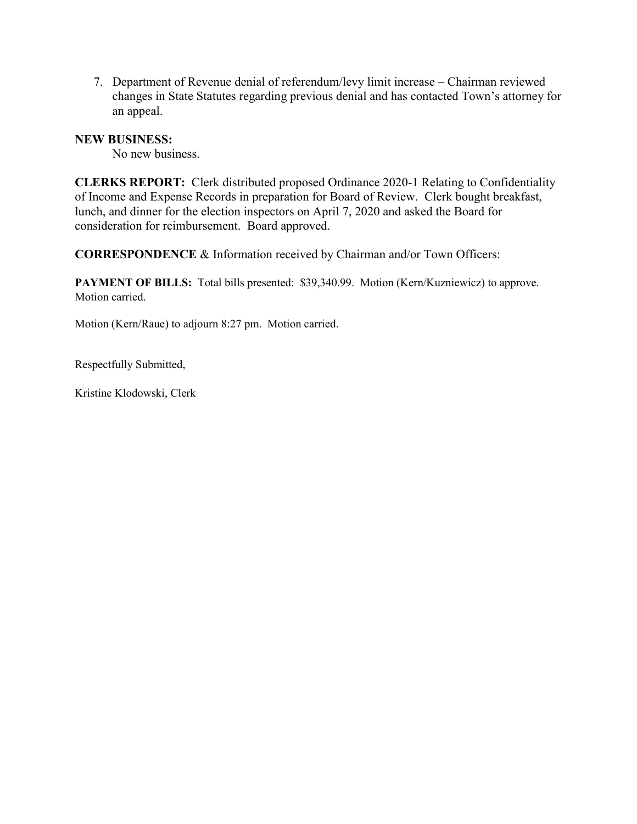7. Department of Revenue denial of referendum/levy limit increase – Chairman reviewed changes in State Statutes regarding previous denial and has contacted Town's attorney for an appeal.

## **NEW BUSINESS:**

No new business.

**CLERKS REPORT:** Clerk distributed proposed Ordinance 2020-1 Relating to Confidentiality of Income and Expense Records in preparation for Board of Review. Clerk bought breakfast, lunch, and dinner for the election inspectors on April 7, 2020 and asked the Board for consideration for reimbursement. Board approved.

**CORRESPONDENCE** & Information received by Chairman and/or Town Officers:

PAYMENT OF BILLS: Total bills presented: \$39,340.99. Motion (Kern/Kuzniewicz) to approve. Motion carried.

Motion (Kern/Raue) to adjourn 8:27 pm. Motion carried.

Respectfully Submitted,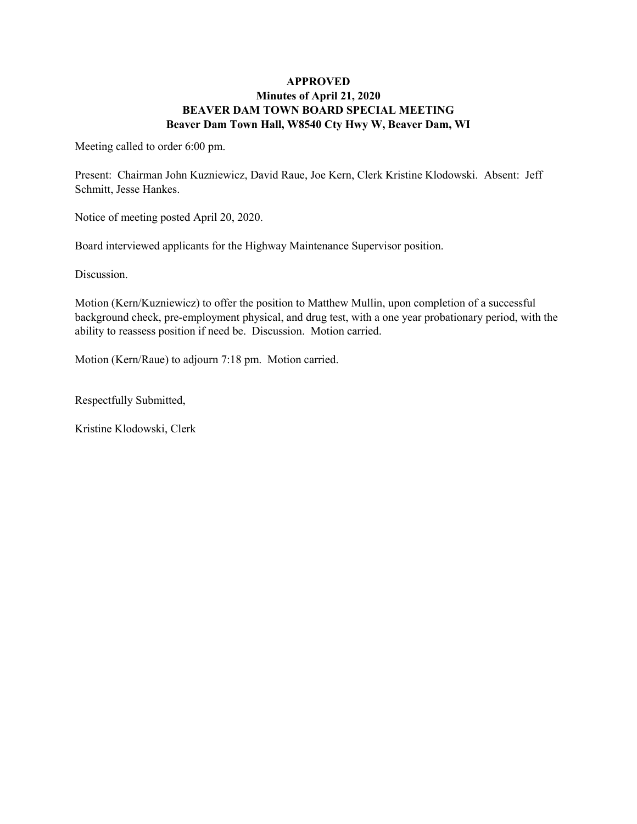### **APPROVED Minutes of April 21, 2020 BEAVER DAM TOWN BOARD SPECIAL MEETING Beaver Dam Town Hall, W8540 Cty Hwy W, Beaver Dam, WI**

Meeting called to order 6:00 pm.

Present: Chairman John Kuzniewicz, David Raue, Joe Kern, Clerk Kristine Klodowski. Absent: Jeff Schmitt, Jesse Hankes.

Notice of meeting posted April 20, 2020.

Board interviewed applicants for the Highway Maintenance Supervisor position.

Discussion.

Motion (Kern/Kuzniewicz) to offer the position to Matthew Mullin, upon completion of a successful background check, pre-employment physical, and drug test, with a one year probationary period, with the ability to reassess position if need be. Discussion. Motion carried.

Motion (Kern/Raue) to adjourn 7:18 pm. Motion carried.

Respectfully Submitted,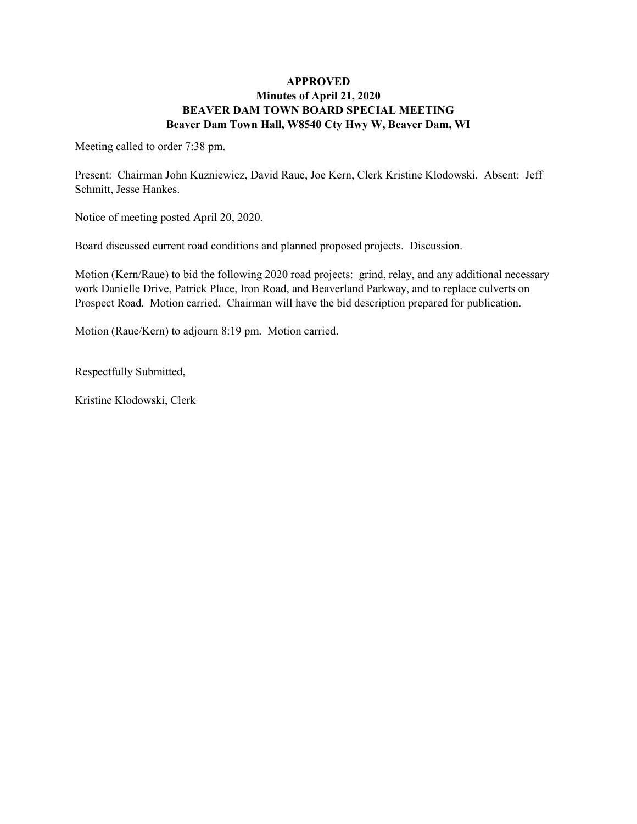### **APPROVED Minutes of April 21, 2020 BEAVER DAM TOWN BOARD SPECIAL MEETING Beaver Dam Town Hall, W8540 Cty Hwy W, Beaver Dam, WI**

Meeting called to order 7:38 pm.

Present: Chairman John Kuzniewicz, David Raue, Joe Kern, Clerk Kristine Klodowski. Absent: Jeff Schmitt, Jesse Hankes.

Notice of meeting posted April 20, 2020.

Board discussed current road conditions and planned proposed projects. Discussion.

Motion (Kern/Raue) to bid the following 2020 road projects: grind, relay, and any additional necessary work Danielle Drive, Patrick Place, Iron Road, and Beaverland Parkway, and to replace culverts on Prospect Road. Motion carried. Chairman will have the bid description prepared for publication.

Motion (Raue/Kern) to adjourn 8:19 pm. Motion carried.

Respectfully Submitted,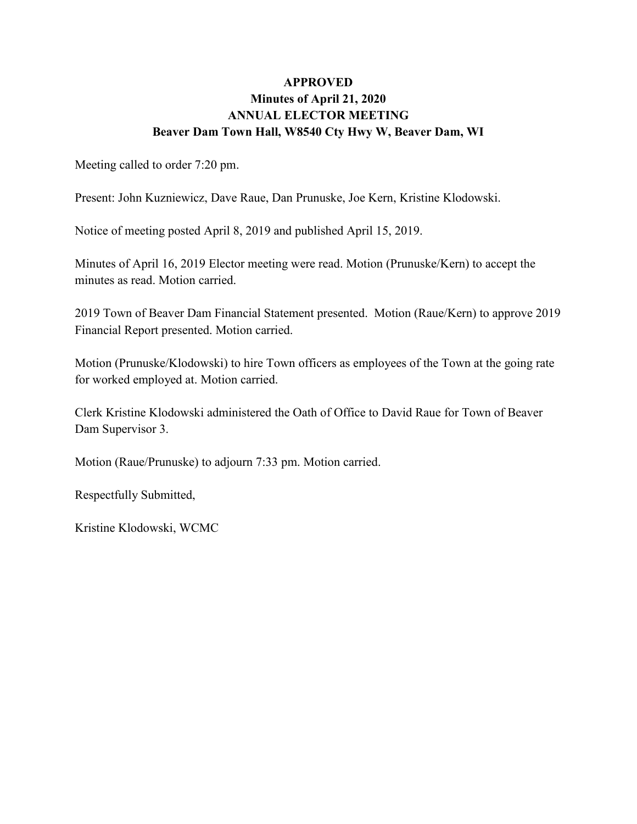# **APPROVED Minutes of April 21, 2020 ANNUAL ELECTOR MEETING Beaver Dam Town Hall, W8540 Cty Hwy W, Beaver Dam, WI**

Meeting called to order 7:20 pm.

Present: John Kuzniewicz, Dave Raue, Dan Prunuske, Joe Kern, Kristine Klodowski.

Notice of meeting posted April 8, 2019 and published April 15, 2019.

Minutes of April 16, 2019 Elector meeting were read. Motion (Prunuske/Kern) to accept the minutes as read. Motion carried.

2019 Town of Beaver Dam Financial Statement presented. Motion (Raue/Kern) to approve 2019 Financial Report presented. Motion carried.

Motion (Prunuske/Klodowski) to hire Town officers as employees of the Town at the going rate for worked employed at. Motion carried.

Clerk Kristine Klodowski administered the Oath of Office to David Raue for Town of Beaver Dam Supervisor 3.

Motion (Raue/Prunuske) to adjourn 7:33 pm. Motion carried.

Respectfully Submitted,

Kristine Klodowski, WCMC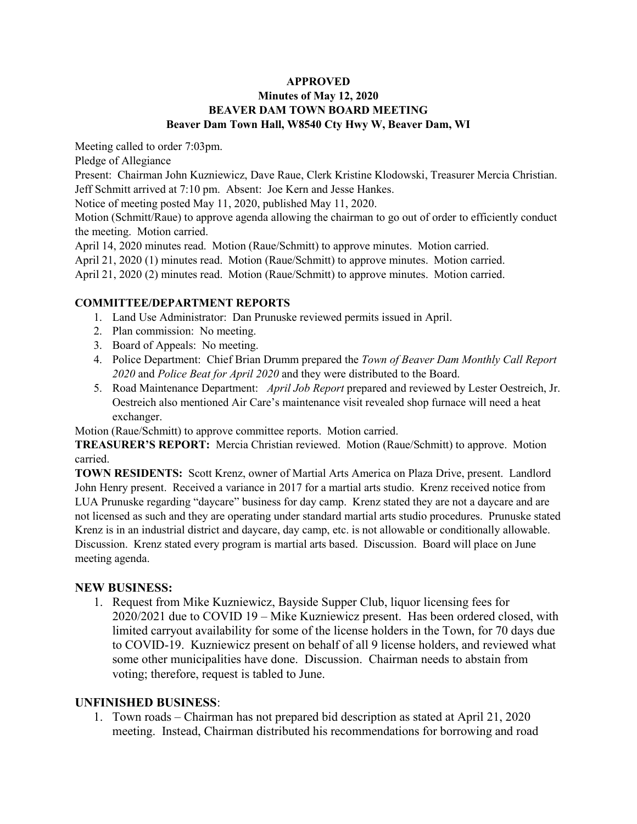### **APPROVED Minutes of May 12, 2020 BEAVER DAM TOWN BOARD MEETING Beaver Dam Town Hall, W8540 Cty Hwy W, Beaver Dam, WI**

Meeting called to order 7:03pm.

Pledge of Allegiance

Present: Chairman John Kuzniewicz, Dave Raue, Clerk Kristine Klodowski, Treasurer Mercia Christian. Jeff Schmitt arrived at 7:10 pm. Absent: Joe Kern and Jesse Hankes.

Notice of meeting posted May 11, 2020, published May 11, 2020.

Motion (Schmitt/Raue) to approve agenda allowing the chairman to go out of order to efficiently conduct the meeting. Motion carried.

April 14, 2020 minutes read. Motion (Raue/Schmitt) to approve minutes. Motion carried.

April 21, 2020 (1) minutes read. Motion (Raue/Schmitt) to approve minutes. Motion carried.

April 21, 2020 (2) minutes read. Motion (Raue/Schmitt) to approve minutes. Motion carried.

## **COMMITTEE/DEPARTMENT REPORTS**

- 1. Land Use Administrator: Dan Prunuske reviewed permits issued in April.
- 2. Plan commission: No meeting.
- 3. Board of Appeals: No meeting.
- 4. Police Department: Chief Brian Drumm prepared the *Town of Beaver Dam Monthly Call Report 2020* and *Police Beat for April 2020* and they were distributed to the Board.
- 5. Road Maintenance Department: *April Job Report* prepared and reviewed by Lester Oestreich, Jr. Oestreich also mentioned Air Care's maintenance visit revealed shop furnace will need a heat exchanger.

Motion (Raue/Schmitt) to approve committee reports. Motion carried.

**TREASURER'S REPORT:** Mercia Christian reviewed. Motion (Raue/Schmitt) to approve. Motion carried.

**TOWN RESIDENTS:** Scott Krenz, owner of Martial Arts America on Plaza Drive, present. Landlord John Henry present. Received a variance in 2017 for a martial arts studio. Krenz received notice from LUA Prunuske regarding "daycare" business for day camp. Krenz stated they are not a daycare and are not licensed as such and they are operating under standard martial arts studio procedures. Prunuske stated Krenz is in an industrial district and daycare, day camp, etc. is not allowable or conditionally allowable. Discussion. Krenz stated every program is martial arts based. Discussion. Board will place on June meeting agenda.

## **NEW BUSINESS:**

1. Request from Mike Kuzniewicz, Bayside Supper Club, liquor licensing fees for 2020/2021 due to COVID 19 – Mike Kuzniewicz present. Has been ordered closed, with limited carryout availability for some of the license holders in the Town, for 70 days due to COVID-19. Kuzniewicz present on behalf of all 9 license holders, and reviewed what some other municipalities have done. Discussion. Chairman needs to abstain from voting; therefore, request is tabled to June.

## **UNFINISHED BUSINESS**:

1. Town roads – Chairman has not prepared bid description as stated at April 21, 2020 meeting. Instead, Chairman distributed his recommendations for borrowing and road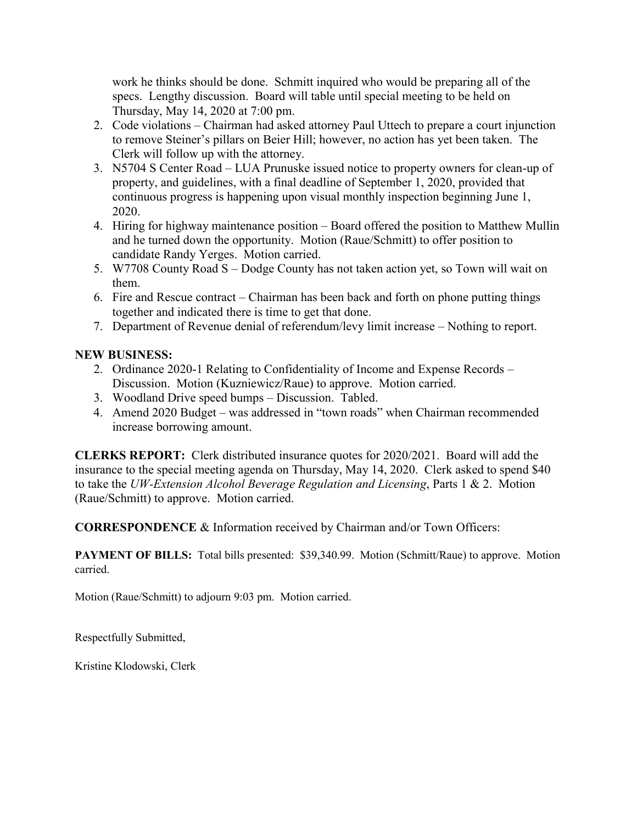work he thinks should be done. Schmitt inquired who would be preparing all of the specs. Lengthy discussion. Board will table until special meeting to be held on Thursday, May 14, 2020 at 7:00 pm.

- 2. Code violations Chairman had asked attorney Paul Uttech to prepare a court injunction to remove Steiner's pillars on Beier Hill; however, no action has yet been taken. The Clerk will follow up with the attorney.
- 3. N5704 S Center Road LUA Prunuske issued notice to property owners for clean-up of property, and guidelines, with a final deadline of September 1, 2020, provided that continuous progress is happening upon visual monthly inspection beginning June 1, 2020.
- 4. Hiring for highway maintenance position Board offered the position to Matthew Mullin and he turned down the opportunity. Motion (Raue/Schmitt) to offer position to candidate Randy Yerges. Motion carried.
- 5. W7708 County Road S Dodge County has not taken action yet, so Town will wait on them.
- 6. Fire and Rescue contract Chairman has been back and forth on phone putting things together and indicated there is time to get that done.
- 7. Department of Revenue denial of referendum/levy limit increase Nothing to report.

# **NEW BUSINESS:**

- 2. Ordinance 2020-1 Relating to Confidentiality of Income and Expense Records Discussion. Motion (Kuzniewicz/Raue) to approve. Motion carried.
- 3. Woodland Drive speed bumps Discussion. Tabled.
- 4. Amend 2020 Budget was addressed in "town roads" when Chairman recommended increase borrowing amount.

**CLERKS REPORT:** Clerk distributed insurance quotes for 2020/2021. Board will add the insurance to the special meeting agenda on Thursday, May 14, 2020. Clerk asked to spend \$40 to take the *UW-Extension Alcohol Beverage Regulation and Licensing*, Parts 1 & 2. Motion (Raue/Schmitt) to approve. Motion carried.

**CORRESPONDENCE** & Information received by Chairman and/or Town Officers:

**PAYMENT OF BILLS:** Total bills presented: \$39,340.99. Motion (Schmitt/Raue) to approve. Motion carried.

Motion (Raue/Schmitt) to adjourn 9:03 pm. Motion carried.

Respectfully Submitted,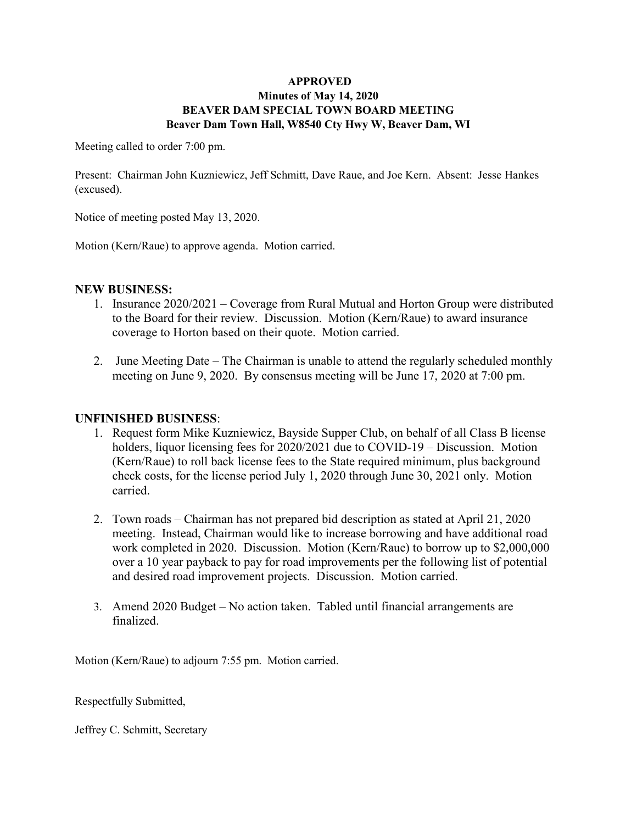### **APPROVED Minutes of May 14, 2020 BEAVER DAM SPECIAL TOWN BOARD MEETING Beaver Dam Town Hall, W8540 Cty Hwy W, Beaver Dam, WI**

Meeting called to order 7:00 pm.

Present: Chairman John Kuzniewicz, Jeff Schmitt, Dave Raue, and Joe Kern. Absent: Jesse Hankes (excused).

Notice of meeting posted May 13, 2020.

Motion (Kern/Raue) to approve agenda. Motion carried.

### **NEW BUSINESS:**

- 1. Insurance 2020/2021 Coverage from Rural Mutual and Horton Group were distributed to the Board for their review. Discussion. Motion (Kern/Raue) to award insurance coverage to Horton based on their quote. Motion carried.
- 2. June Meeting Date The Chairman is unable to attend the regularly scheduled monthly meeting on June 9, 2020. By consensus meeting will be June 17, 2020 at 7:00 pm.

## **UNFINISHED BUSINESS**:

- 1. Request form Mike Kuzniewicz, Bayside Supper Club, on behalf of all Class B license holders, liquor licensing fees for 2020/2021 due to COVID-19 – Discussion. Motion (Kern/Raue) to roll back license fees to the State required minimum, plus background check costs, for the license period July 1, 2020 through June 30, 2021 only. Motion carried.
- 2. Town roads Chairman has not prepared bid description as stated at April 21, 2020 meeting. Instead, Chairman would like to increase borrowing and have additional road work completed in 2020. Discussion. Motion (Kern/Raue) to borrow up to \$2,000,000 over a 10 year payback to pay for road improvements per the following list of potential and desired road improvement projects. Discussion. Motion carried.
- 3. Amend 2020 Budget No action taken. Tabled until financial arrangements are finalized.

Motion (Kern/Raue) to adjourn 7:55 pm. Motion carried.

Respectfully Submitted,

Jeffrey C. Schmitt, Secretary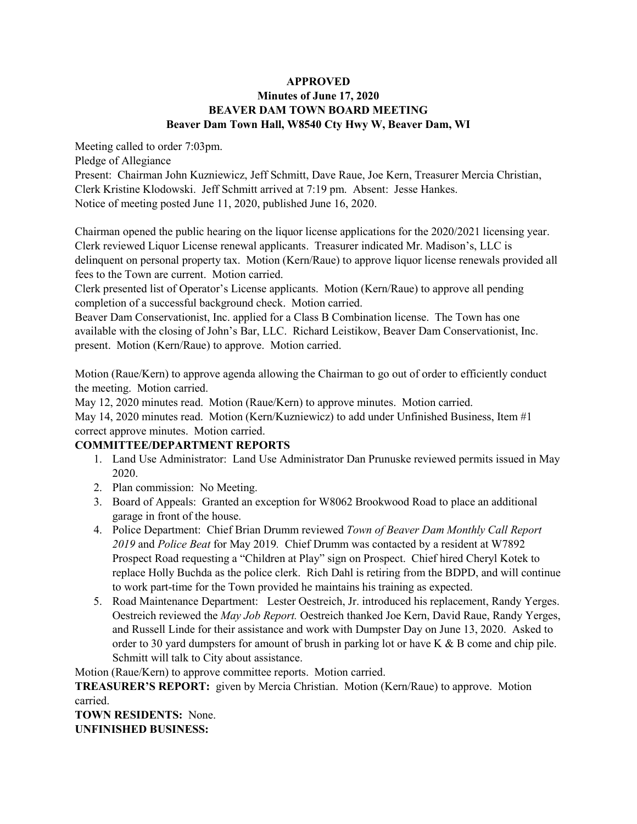### **APPROVED Minutes of June 17, 2020 BEAVER DAM TOWN BOARD MEETING Beaver Dam Town Hall, W8540 Cty Hwy W, Beaver Dam, WI**

Meeting called to order 7:03pm.

Pledge of Allegiance

Present: Chairman John Kuzniewicz, Jeff Schmitt, Dave Raue, Joe Kern, Treasurer Mercia Christian, Clerk Kristine Klodowski. Jeff Schmitt arrived at 7:19 pm. Absent: Jesse Hankes. Notice of meeting posted June 11, 2020, published June 16, 2020.

Chairman opened the public hearing on the liquor license applications for the 2020/2021 licensing year. Clerk reviewed Liquor License renewal applicants. Treasurer indicated Mr. Madison's, LLC is delinquent on personal property tax. Motion (Kern/Raue) to approve liquor license renewals provided all fees to the Town are current. Motion carried.

Clerk presented list of Operator's License applicants. Motion (Kern/Raue) to approve all pending completion of a successful background check. Motion carried.

Beaver Dam Conservationist, Inc. applied for a Class B Combination license. The Town has one available with the closing of John's Bar, LLC. Richard Leistikow, Beaver Dam Conservationist, Inc. present. Motion (Kern/Raue) to approve. Motion carried.

Motion (Raue/Kern) to approve agenda allowing the Chairman to go out of order to efficiently conduct the meeting. Motion carried.

May 12, 2020 minutes read. Motion (Raue/Kern) to approve minutes. Motion carried.

May 14, 2020 minutes read. Motion (Kern/Kuzniewicz) to add under Unfinished Business, Item #1 correct approve minutes. Motion carried.

## **COMMITTEE/DEPARTMENT REPORTS**

- 1. Land Use Administrator: Land Use Administrator Dan Prunuske reviewed permits issued in May 2020.
- 2. Plan commission: No Meeting.
- 3. Board of Appeals: Granted an exception for W8062 Brookwood Road to place an additional garage in front of the house.
- 4. Police Department: Chief Brian Drumm reviewed *Town of Beaver Dam Monthly Call Report 2019* and *Police Beat* for May 2019*.* Chief Drumm was contacted by a resident at W7892 Prospect Road requesting a "Children at Play" sign on Prospect. Chief hired Cheryl Kotek to replace Holly Buchda as the police clerk. Rich Dahl is retiring from the BDPD, and will continue to work part-time for the Town provided he maintains his training as expected.
- 5. Road Maintenance Department: Lester Oestreich, Jr. introduced his replacement, Randy Yerges. Oestreich reviewed the *May Job Report.* Oestreich thanked Joe Kern, David Raue, Randy Yerges, and Russell Linde for their assistance and work with Dumpster Day on June 13, 2020. Asked to order to 30 yard dumpsters for amount of brush in parking lot or have K  $\&$  B come and chip pile. Schmitt will talk to City about assistance.

Motion (Raue/Kern) to approve committee reports. Motion carried.

**TREASURER'S REPORT:** given by Mercia Christian. Motion (Kern/Raue) to approve. Motion carried.

**TOWN RESIDENTS:** None. **UNFINISHED BUSINESS:**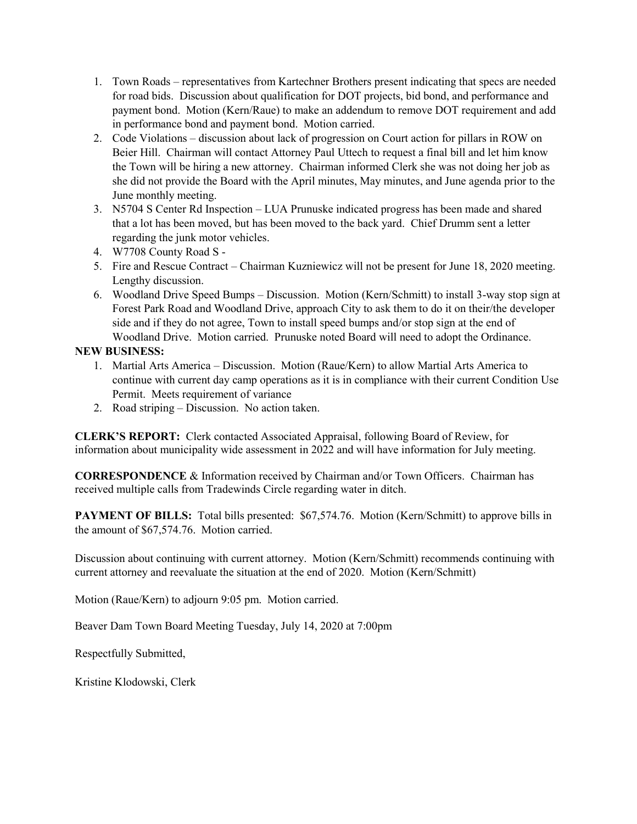- 1. Town Roads representatives from Kartechner Brothers present indicating that specs are needed for road bids. Discussion about qualification for DOT projects, bid bond, and performance and payment bond. Motion (Kern/Raue) to make an addendum to remove DOT requirement and add in performance bond and payment bond. Motion carried.
- 2. Code Violations discussion about lack of progression on Court action for pillars in ROW on Beier Hill. Chairman will contact Attorney Paul Uttech to request a final bill and let him know the Town will be hiring a new attorney. Chairman informed Clerk she was not doing her job as she did not provide the Board with the April minutes, May minutes, and June agenda prior to the June monthly meeting.
- 3. N5704 S Center Rd Inspection LUA Prunuske indicated progress has been made and shared that a lot has been moved, but has been moved to the back yard. Chief Drumm sent a letter regarding the junk motor vehicles.
- 4. W7708 County Road S -
- 5. Fire and Rescue Contract Chairman Kuzniewicz will not be present for June 18, 2020 meeting. Lengthy discussion.
- 6. Woodland Drive Speed Bumps Discussion. Motion (Kern/Schmitt) to install 3-way stop sign at Forest Park Road and Woodland Drive, approach City to ask them to do it on their/the developer side and if they do not agree, Town to install speed bumps and/or stop sign at the end of Woodland Drive. Motion carried. Prunuske noted Board will need to adopt the Ordinance.

## **NEW BUSINESS:**

- 1. Martial Arts America Discussion. Motion (Raue/Kern) to allow Martial Arts America to continue with current day camp operations as it is in compliance with their current Condition Use Permit. Meets requirement of variance
- 2. Road striping Discussion. No action taken.

**CLERK'S REPORT:** Clerk contacted Associated Appraisal, following Board of Review, for information about municipality wide assessment in  $2022$  and will have information for July meeting.

**CORRESPONDENCE** & Information received by Chairman and/or Town Officers. Chairman has received multiple calls from Tradewinds Circle regarding water in ditch.

**PAYMENT OF BILLS:** Total bills presented: \$67,574.76. Motion (Kern/Schmitt) to approve bills in the amount of \$67,574.76. Motion carried.

Discussion about continuing with current attorney. Motion (Kern/Schmitt) recommends continuing with current attorney and reevaluate the situation at the end of 2020. Motion (Kern/Schmitt)

Motion (Raue/Kern) to adjourn 9:05 pm. Motion carried.

Beaver Dam Town Board Meeting Tuesday, July 14, 2020 at 7:00pm

Respectfully Submitted,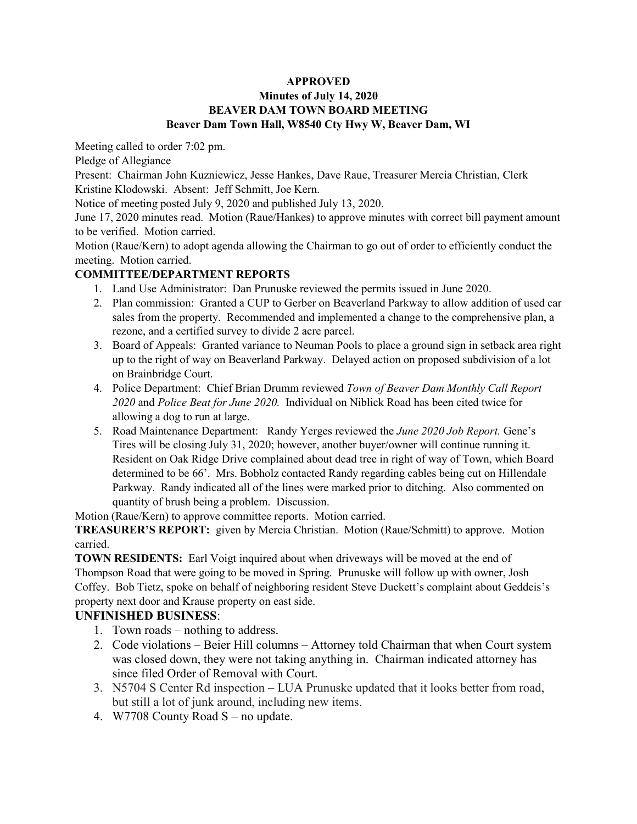## **Minutes of July 14, 2020 BEAVER DAM TOWN BOARD MEETING Beaver Dam Town Hall, W8540 Cty Hwy W, Beaver Dam, WI**

Meeting called to order 7:02 pm.

Pledge of Allegiance

Present: Chairman John Kuzniewicz, Jesse Hankes, Dave Raue, Treasurer Mercia Christian, Clerk Kristine Klodowski. Absent: Jeff Schmitt, Joe Kern.

Notice of meeting posted July 9, 2020 and published July 13, 2020.

June 17, 2020 minutes read. Motion (Raue/Hankes) to approve minutes with correct bill payment amount to be verified. Motion carried.

Motion (Raue/Kern) to adopt agenda allowing the Chairman to go out of order to efficiently conduct the meeting. Motion carried.

## **COMMITTEE/DEPARTMENT REPORTS**

- 1. Land Use Administrator: Dan Prunuske reviewed the permits issued in June 2020.
- 2. Plan commission: Granted a CUP to Gerber on Beaverland Parkway to allow addition of used car sales from the property. Recommended and implemented a change to the comprehensive plan, a rezone, and a certified survey to divide 2 acre parcel.
- 3. Board of Appeals: Granted variance to Neuman Pools to place a ground sign in setback area right up to the right of way on Beaverland Parkway. Delayed action on proposed subdivision of a lot on Brainbridge Court.
- 4. Police Department: Chief Brian Drumm reviewed *Town of Beaver Dam Monthly Call Report 2020* and *Police Beat for June 2020.* Individual on Niblick Road has been cited twice for allowing a dog to run at large.
- 5. Road Maintenance Department: Randy Yerges reviewed the *June 2020 Job Report.* Gene's Tires will be closing July 31, 2020; however, another buyer/owner will continue running it. Resident on Oak Ridge Drive complained about dead tree in right of way of Town, which Board determined to be 66'. Mrs. Bobholz contacted Randy regarding cables being cut on Hillendale Parkway. Randy indicated all of the lines were marked prior to ditching. Also commented on quantity of brush being a problem. Discussion.

Motion (Raue/Kern) to approve committee reports. Motion carried.

**TREASURER'S REPORT:** given by Mercia Christian. Motion (Raue/Schmitt) to approve. Motion carried.

**TOWN RESIDENTS:** Earl Voigt inquired about when driveways will be moved at the end of Thompson Road that were going to be moved in Spring. Prunuske will follow up with owner, Josh Coffey. Bob Tietz, spoke on behalf of neighboring resident Steve Duckett's complaint about Geddeis's property next door and Krause property on east side.

# **UNFINISHED BUSINESS**:

- 1. Town roads nothing to address.
- 2. Code violations Beier Hill columns Attorney told Chairman that when Court system was closed down, they were not taking anything in. Chairman indicated attorney has since filed Order of Removal with Court.
- 3. N5704 S Center Rd inspection LUA Prunuske updated that it looks better from road, but still a lot of junk around, including new items.
- 4. W7708 County Road S no update.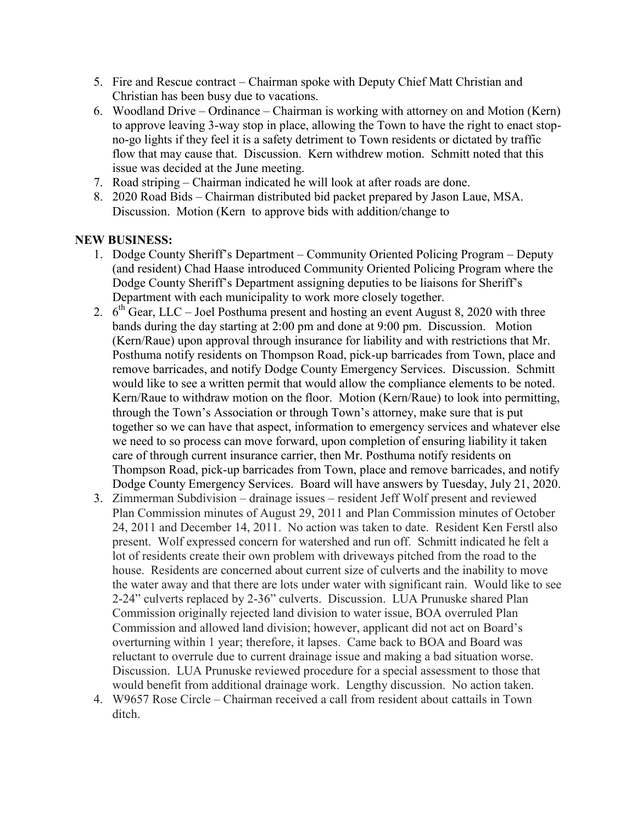- 5. Fire and Rescue contract Chairman spoke with Deputy Chief Matt Christian and Christian has been busy due to vacations.
- 6. Woodland Drive Ordinance Chairman is working with attorney on and Motion (Kern) to approve leaving 3-way stop in place, allowing the Town to have the right to enact stopno-go lights if they feel it is a safety detriment to Town residents or dictated by traffic flow that may cause that. Discussion. Kern withdrew motion. Schmitt noted that this issue was decided at the June meeting.
- 7. Road striping Chairman indicated he will look at after roads are done.
- 8. 2020 Road Bids Chairman distributed bid packet prepared by Jason Laue, MSA. Discussion. Motion (Kern to approve bids with addition/change to

# **NEW BUSINESS:**

- 1. Dodge County Sheriff's Department Community Oriented Policing Program Deputy (and resident) Chad Haase introduced Community Oriented Policing Program where the Dodge County Sheriff's Department assigning deputies to be liaisons for Sheriff's Department with each municipality to work more closely together.
- 2.  $6<sup>th</sup> Gear$ , LLC Joel Posthuma present and hosting an event August 8, 2020 with three bands during the day starting at 2:00 pm and done at 9:00 pm. Discussion. Motion (Kern/Raue) upon approval through insurance for liability and with restrictions that Mr. Posthuma notify residents on Thompson Road, pick-up barricades from Town, place and remove barricades, and notify Dodge County Emergency Services. Discussion. Schmitt would like to see a written permit that would allow the compliance elements to be noted. Kern/Raue to withdraw motion on the floor. Motion (Kern/Raue) to look into permitting, through the Town's Association or through Town's attorney, make sure that is put together so we can have that aspect, information to emergency services and whatever else we need to so process can move forward, upon completion of ensuring liability it taken care of through current insurance carrier, then Mr. Posthuma notify residents on Thompson Road, pick-up barricades from Town, place and remove barricades, and notify Dodge County Emergency Services. Board will have answers by Tuesday, July 21, 2020.
- 3. Zimmerman Subdivision drainage issues resident Jeff Wolf present and reviewed Plan Commission minutes of August 29, 2011 and Plan Commission minutes of October 24, 2011 and December 14, 2011. No action was taken to date. Resident Ken Ferstl also present. Wolf expressed concern for watershed and run off. Schmitt indicated he felt a lot of residents create their own problem with driveways pitched from the road to the house. Residents are concerned about current size of culverts and the inability to move the water away and that there are lots under water with significant rain. Would like to see 2-24" culverts replaced by 2-36" culverts. Discussion. LUA Prunuske shared Plan Commission originally rejected land division to water issue, BOA overruled Plan Commission and allowed land division; however, applicant did not act on Board's overturning within 1 year; therefore, it lapses. Came back to BOA and Board was reluctant to overrule due to current drainage issue and making a bad situation worse. Discussion. LUA Prunuske reviewed procedure for a special assessment to those that would benefit from additional drainage work. Lengthy discussion. No action taken.
- 4. W9657 Rose Circle Chairman received a call from resident about cattails in Town ditch.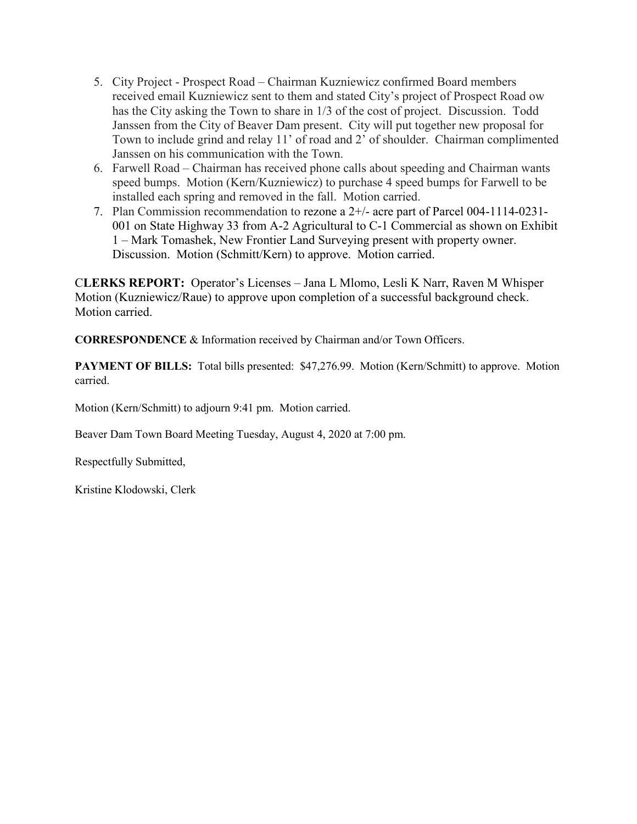- 5. City Project Prospect Road Chairman Kuzniewicz confirmed Board members received email Kuzniewicz sent to them and stated City's project of Prospect Road ow has the City asking the Town to share in 1/3 of the cost of project. Discussion. Todd Janssen from the City of Beaver Dam present. City will put together new proposal for Town to include grind and relay 11' of road and 2' of shoulder. Chairman complimented Janssen on his communication with the Town.
- 6. Farwell Road Chairman has received phone calls about speeding and Chairman wants speed bumps. Motion (Kern/Kuzniewicz) to purchase 4 speed bumps for Farwell to be installed each spring and removed in the fall. Motion carried.
- 7. Plan Commission recommendation to rezone a 2+/- acre part of Parcel 004-1114-0231- 001 on State Highway 33 from A-2 Agricultural to C-1 Commercial as shown on Exhibit 1 – Mark Tomashek, New Frontier Land Surveying present with property owner. Discussion. Motion (Schmitt/Kern) to approve. Motion carried.

C**LERKS REPORT:** Operator's Licenses – Jana L Mlomo, Lesli K Narr, Raven M Whisper Motion (Kuzniewicz/Raue) to approve upon completion of a successful background check. Motion carried.

**CORRESPONDENCE** & Information received by Chairman and/or Town Officers.

**PAYMENT OF BILLS:** Total bills presented: \$47,276.99. Motion (Kern/Schmitt) to approve. Motion carried.

Motion (Kern/Schmitt) to adjourn 9:41 pm. Motion carried.

Beaver Dam Town Board Meeting Tuesday, August 4, 2020 at 7:00 pm.

Respectfully Submitted,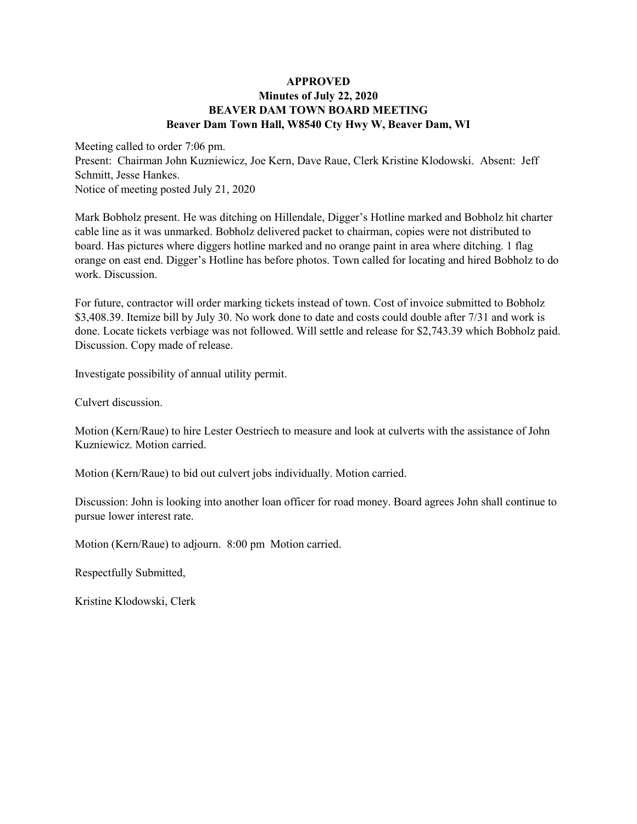### **APPROVED Minutes of July 22, 2020 BEAVER DAM TOWN BOARD MEETING Beaver Dam Town Hall, W8540 Cty Hwy W, Beaver Dam, WI**

Meeting called to order 7:06 pm. Present: Chairman John Kuzniewicz, Joe Kern, Dave Raue, Clerk Kristine Klodowski. Absent: Jeff Schmitt, Jesse Hankes. Notice of meeting posted July 21, 2020

Mark Bobholz present. He was ditching on Hillendale, Digger's Hotline marked and Bobholz hit charter cable line as it was unmarked. Bobholz delivered packet to chairman, copies were not distributed to board. Has pictures where diggers hotline marked and no orange paint in area where ditching. 1 flag orange on east end. Digger's Hotline has before photos. Town called for locating and hired Bobholz to do work. Discussion.

For future, contractor will order marking tickets instead of town. Cost of invoice submitted to Bobholz \$3,408.39. Itemize bill by July 30. No work done to date and costs could double after 7/31 and work is done. Locate tickets verbiage was not followed. Will settle and release for \$2,743.39 which Bobholz paid. Discussion. Copy made of release.

Investigate possibility of annual utility permit.

Culvert discussion.

Motion (Kern/Raue) to hire Lester Oestriech to measure and look at culverts with the assistance of John Kuzniewicz. Motion carried.

Motion (Kern/Raue) to bid out culvert jobs individually. Motion carried.

Discussion: John is looking into another loan officer for road money. Board agrees John shall continue to pursue lower interest rate.

Motion (Kern/Raue) to adjourn. 8:00 pm Motion carried.

Respectfully Submitted,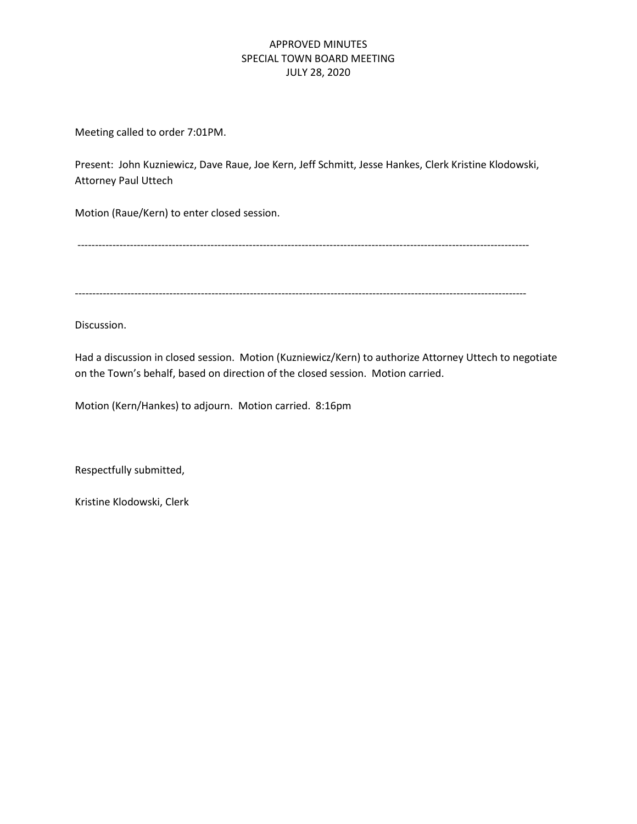## APPROVED MINUTES SPECIAL TOWN BOARD MEETING JULY 28, 2020

Meeting called to order 7:01PM.

Present: John Kuzniewicz, Dave Raue, Joe Kern, Jeff Schmitt, Jesse Hankes, Clerk Kristine Klodowski, Attorney Paul Uttech

Motion (Raue/Kern) to enter closed session.

---------------------------------------------------------------------------------------------------------------------------------

---------------------------------------------------------------------------------------------------------------------------------

Discussion.

Had a discussion in closed session. Motion (Kuzniewicz/Kern) to authorize Attorney Uttech to negotiate on the Town's behalf, based on direction of the closed session. Motion carried.

Motion (Kern/Hankes) to adjourn. Motion carried. 8:16pm

Respectfully submitted,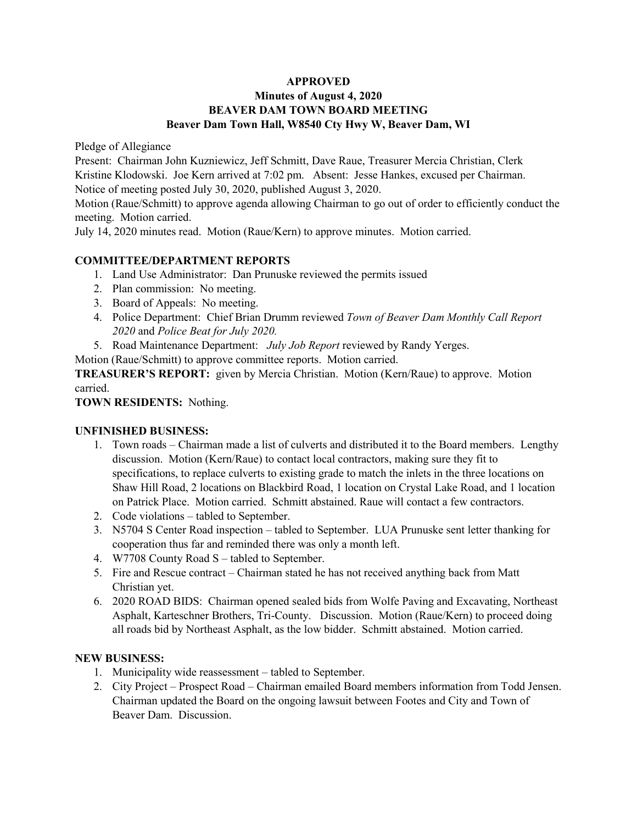## **Minutes of August 4, 2020 BEAVER DAM TOWN BOARD MEETING Beaver Dam Town Hall, W8540 Cty Hwy W, Beaver Dam, WI**

Pledge of Allegiance

Present: Chairman John Kuzniewicz, Jeff Schmitt, Dave Raue, Treasurer Mercia Christian, Clerk Kristine Klodowski. Joe Kern arrived at 7:02 pm. Absent: Jesse Hankes, excused per Chairman. Notice of meeting posted July 30, 2020, published August 3, 2020.

Motion (Raue/Schmitt) to approve agenda allowing Chairman to go out of order to efficiently conduct the meeting. Motion carried.

July 14, 2020 minutes read. Motion (Raue/Kern) to approve minutes. Motion carried.

## **COMMITTEE/DEPARTMENT REPORTS**

- 1. Land Use Administrator: Dan Prunuske reviewed the permits issued
- 2. Plan commission: No meeting.
- 3. Board of Appeals: No meeting.
- 4. Police Department: Chief Brian Drumm reviewed *Town of Beaver Dam Monthly Call Report 2020* and *Police Beat for July 2020.*
- 5. Road Maintenance Department: *July Job Report* reviewed by Randy Yerges.

Motion (Raue/Schmitt) to approve committee reports. Motion carried.

**TREASURER'S REPORT:** given by Mercia Christian. Motion (Kern/Raue) to approve. Motion carried.

### **TOWN RESIDENTS:** Nothing.

#### **UNFINISHED BUSINESS:**

- 1. Town roads Chairman made a list of culverts and distributed it to the Board members. Lengthy discussion. Motion (Kern/Raue) to contact local contractors, making sure they fit to specifications, to replace culverts to existing grade to match the inlets in the three locations on Shaw Hill Road, 2 locations on Blackbird Road, 1 location on Crystal Lake Road, and 1 location on Patrick Place. Motion carried. Schmitt abstained. Raue will contact a few contractors.
- 2. Code violations tabled to September.
- 3. N5704 S Center Road inspection tabled to September. LUA Prunuske sent letter thanking for cooperation thus far and reminded there was only a month left.
- 4. W7708 County Road S tabled to September.
- 5. Fire and Rescue contract Chairman stated he has not received anything back from Matt Christian yet.
- 6. 2020 ROAD BIDS: Chairman opened sealed bids from Wolfe Paving and Excavating, Northeast Asphalt, Karteschner Brothers, Tri-County. Discussion. Motion (Raue/Kern) to proceed doing all roads bid by Northeast Asphalt, as the low bidder. Schmitt abstained. Motion carried.

## **NEW BUSINESS:**

- 1. Municipality wide reassessment tabled to September.
- 2. City Project Prospect Road Chairman emailed Board members information from Todd Jensen. Chairman updated the Board on the ongoing lawsuit between Footes and City and Town of Beaver Dam. Discussion.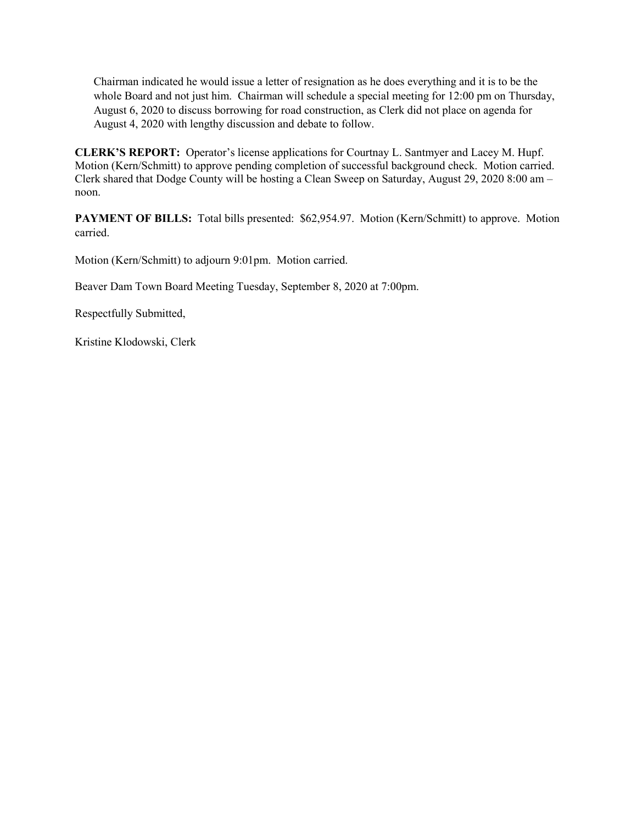Chairman indicated he would issue a letter of resignation as he does everything and it is to be the whole Board and not just him. Chairman will schedule a special meeting for 12:00 pm on Thursday, August 6, 2020 to discuss borrowing for road construction, as Clerk did not place on agenda for August 4, 2020 with lengthy discussion and debate to follow.

**CLERK'S REPORT:** Operator's license applications for Courtnay L. Santmyer and Lacey M. Hupf. Motion (Kern/Schmitt) to approve pending completion of successful background check. Motion carried. Clerk shared that Dodge County will be hosting a Clean Sweep on Saturday, August 29, 2020 8:00 am – noon.

PAYMENT OF BILLS: Total bills presented: \$62,954.97. Motion (Kern/Schmitt) to approve. Motion carried.

Motion (Kern/Schmitt) to adjourn 9:01pm. Motion carried.

Beaver Dam Town Board Meeting Tuesday, September 8, 2020 at 7:00pm.

Respectfully Submitted,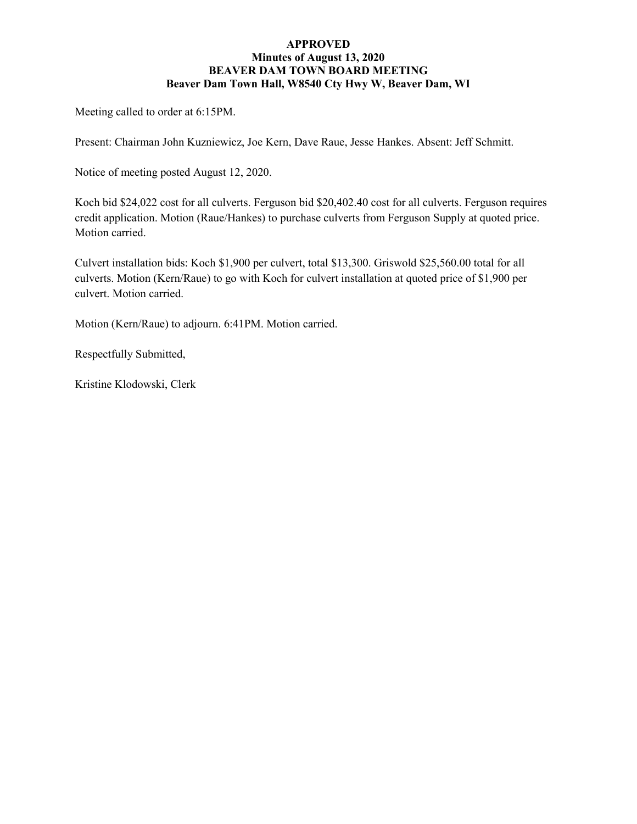#### **APPROVED Minutes of August 13, 2020 BEAVER DAM TOWN BOARD MEETING Beaver Dam Town Hall, W8540 Cty Hwy W, Beaver Dam, WI**

Meeting called to order at 6:15PM.

Present: Chairman John Kuzniewicz, Joe Kern, Dave Raue, Jesse Hankes. Absent: Jeff Schmitt.

Notice of meeting posted August 12, 2020.

Koch bid \$24,022 cost for all culverts. Ferguson bid \$20,402.40 cost for all culverts. Ferguson requires credit application. Motion (Raue/Hankes) to purchase culverts from Ferguson Supply at quoted price. Motion carried.

Culvert installation bids: Koch \$1,900 per culvert, total \$13,300. Griswold \$25,560.00 total for all culverts. Motion (Kern/Raue) to go with Koch for culvert installation at quoted price of \$1,900 per culvert. Motion carried.

Motion (Kern/Raue) to adjourn. 6:41PM. Motion carried.

Respectfully Submitted,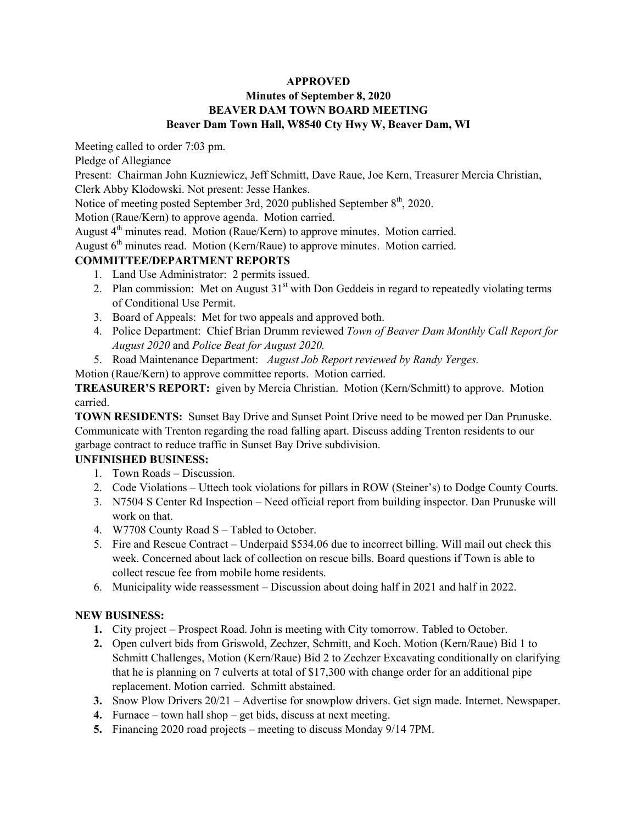## **Minutes of September 8, 2020 BEAVER DAM TOWN BOARD MEETING Beaver Dam Town Hall, W8540 Cty Hwy W, Beaver Dam, WI**

Meeting called to order 7:03 pm.

Pledge of Allegiance

Present: Chairman John Kuzniewicz, Jeff Schmitt, Dave Raue, Joe Kern, Treasurer Mercia Christian, Clerk Abby Klodowski. Not present: Jesse Hankes.

Notice of meeting posted September 3rd, 2020 published September 8<sup>th</sup>, 2020.

Motion (Raue/Kern) to approve agenda. Motion carried.

August  $4<sup>th</sup>$  minutes read. Motion (Raue/Kern) to approve minutes. Motion carried.

August  $6<sup>th</sup>$  minutes read. Motion (Kern/Raue) to approve minutes. Motion carried.

## **COMMITTEE/DEPARTMENT REPORTS**

- 1. Land Use Administrator: 2 permits issued.
- 2. Plan commission: Met on August  $31<sup>st</sup>$  with Don Geddeis in regard to repeatedly violating terms of Conditional Use Permit.
- 3. Board of Appeals: Met for two appeals and approved both.
- 4. Police Department: Chief Brian Drumm reviewed *Town of Beaver Dam Monthly Call Report for August 2020* and *Police Beat for August 2020.*
- 5. Road Maintenance Department: *August Job Report reviewed by Randy Yerges.*

Motion (Raue/Kern) to approve committee reports. Motion carried.

**TREASURER'S REPORT:** given by Mercia Christian. Motion (Kern/Schmitt) to approve. Motion carried.

**TOWN RESIDENTS:** Sunset Bay Drive and Sunset Point Drive need to be mowed per Dan Prunuske. Communicate with Trenton regarding the road falling apart. Discuss adding Trenton residents to our garbage contract to reduce traffic in Sunset Bay Drive subdivision.

## **UNFINISHED BUSINESS:**

- 1. Town Roads Discussion.
- 2. Code Violations Uttech took violations for pillars in ROW (Steiner's) to Dodge County Courts.
- 3. N7504 S Center Rd Inspection Need official report from building inspector. Dan Prunuske will work on that.
- 4. W7708 County Road S Tabled to October.
- 5. Fire and Rescue Contract Underpaid \$534.06 due to incorrect billing. Will mail out check this week. Concerned about lack of collection on rescue bills. Board questions if Town is able to collect rescue fee from mobile home residents.
- 6. Municipality wide reassessment Discussion about doing half in 2021 and half in 2022.

## **NEW BUSINESS:**

- **1.** City project Prospect Road. John is meeting with City tomorrow. Tabled to October.
- **2.** Open culvert bids from Griswold, Zechzer, Schmitt, and Koch. Motion (Kern/Raue) Bid 1 to Schmitt Challenges, Motion (Kern/Raue) Bid 2 to Zechzer Excavating conditionally on clarifying that he is planning on 7 culverts at total of \$17,300 with change order for an additional pipe replacement. Motion carried. Schmitt abstained.
- **3.** Snow Plow Drivers 20/21 Advertise for snowplow drivers. Get sign made. Internet. Newspaper.
- **4.** Furnace town hall shop get bids, discuss at next meeting.
- **5.** Financing 2020 road projects meeting to discuss Monday 9/14 7PM.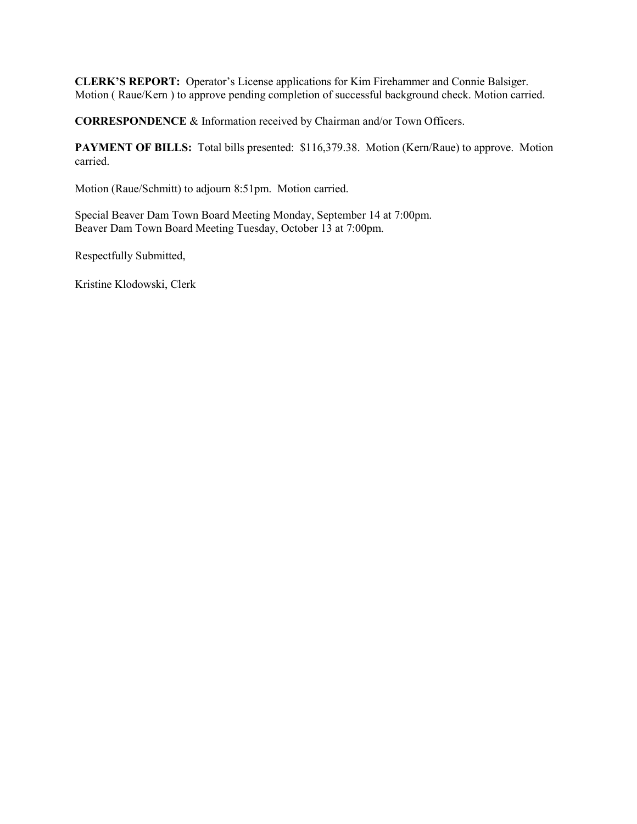**CLERK'S REPORT:** Operator's License applications for Kim Firehammer and Connie Balsiger. Motion ( Raue/Kern ) to approve pending completion of successful background check. Motion carried.

**CORRESPONDENCE** & Information received by Chairman and/or Town Officers.

PAYMENT OF BILLS: Total bills presented: \$116,379.38. Motion (Kern/Raue) to approve. Motion carried.

Motion (Raue/Schmitt) to adjourn 8:51pm. Motion carried.

Special Beaver Dam Town Board Meeting Monday, September 14 at 7:00pm. Beaver Dam Town Board Meeting Tuesday, October 13 at 7:00pm.

Respectfully Submitted,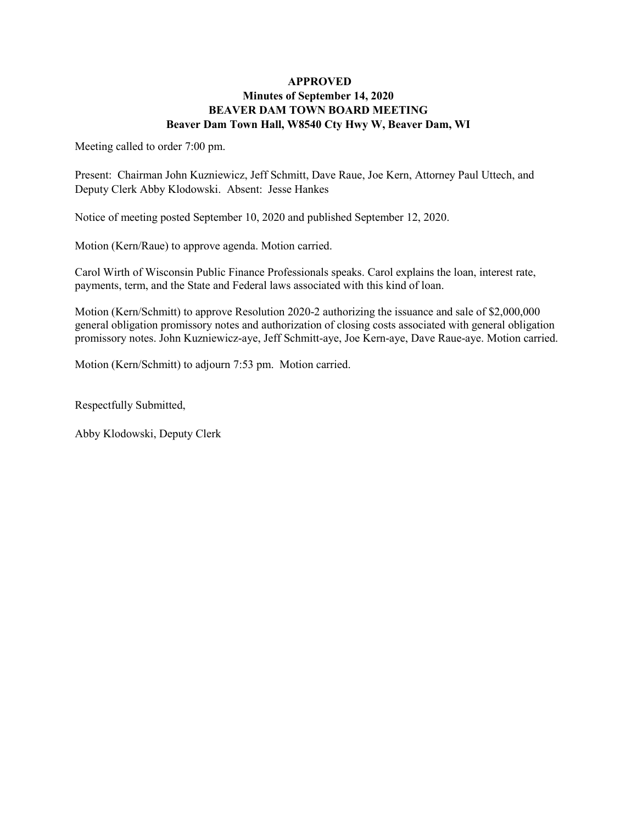### **APPROVED Minutes of September 14, 2020 BEAVER DAM TOWN BOARD MEETING Beaver Dam Town Hall, W8540 Cty Hwy W, Beaver Dam, WI**

Meeting called to order 7:00 pm.

Present: Chairman John Kuzniewicz, Jeff Schmitt, Dave Raue, Joe Kern, Attorney Paul Uttech, and Deputy Clerk Abby Klodowski. Absent: Jesse Hankes

Notice of meeting posted September 10, 2020 and published September 12, 2020.

Motion (Kern/Raue) to approve agenda. Motion carried.

Carol Wirth of Wisconsin Public Finance Professionals speaks. Carol explains the loan, interest rate, payments, term, and the State and Federal laws associated with this kind of loan.

Motion (Kern/Schmitt) to approve Resolution 2020-2 authorizing the issuance and sale of \$2,000,000 general obligation promissory notes and authorization of closing costs associated with general obligation promissory notes. John Kuzniewicz-aye, Jeff Schmitt-aye, Joe Kern-aye, Dave Raue-aye. Motion carried.

Motion (Kern/Schmitt) to adjourn 7:53 pm. Motion carried.

Respectfully Submitted,

Abby Klodowski, Deputy Clerk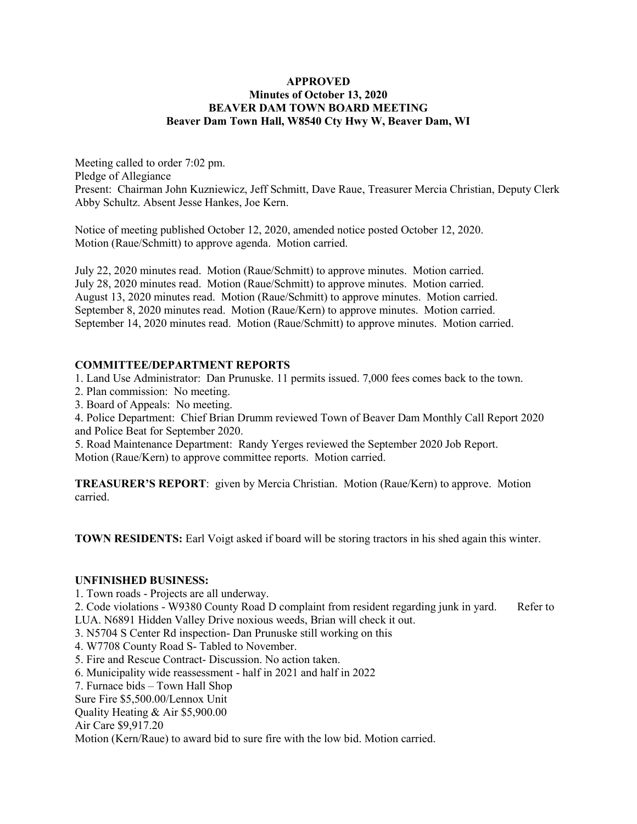#### **APPROVED Minutes of October 13, 2020 BEAVER DAM TOWN BOARD MEETING Beaver Dam Town Hall, W8540 Cty Hwy W, Beaver Dam, WI**

Meeting called to order 7:02 pm. Pledge of Allegiance Present: Chairman John Kuzniewicz, Jeff Schmitt, Dave Raue, Treasurer Mercia Christian, Deputy Clerk Abby Schultz. Absent Jesse Hankes, Joe Kern.

Notice of meeting published October 12, 2020, amended notice posted October 12, 2020. Motion (Raue/Schmitt) to approve agenda. Motion carried.

July 22, 2020 minutes read. Motion (Raue/Schmitt) to approve minutes. Motion carried. July 28, 2020 minutes read. Motion (Raue/Schmitt) to approve minutes. Motion carried. August 13, 2020 minutes read. Motion (Raue/Schmitt) to approve minutes. Motion carried. September 8, 2020 minutes read. Motion (Raue/Kern) to approve minutes. Motion carried. September 14, 2020 minutes read. Motion (Raue/Schmitt) to approve minutes. Motion carried.

#### **COMMITTEE/DEPARTMENT REPORTS**

1. Land Use Administrator: Dan Prunuske. 11 permits issued. 7,000 fees comes back to the town.

- 2. Plan commission: No meeting.
- 3. Board of Appeals: No meeting.

4. Police Department: Chief Brian Drumm reviewed Town of Beaver Dam Monthly Call Report 2020 and Police Beat for September 2020.

5. Road Maintenance Department: Randy Yerges reviewed the September 2020 Job Report. Motion (Raue/Kern) to approve committee reports. Motion carried.

**TREASURER'S REPORT**: given by Mercia Christian. Motion (Raue/Kern) to approve. Motion carried.

**TOWN RESIDENTS:** Earl Voigt asked if board will be storing tractors in his shed again this winter.

#### **UNFINISHED BUSINESS:**

1. Town roads - Projects are all underway.

2. Code violations - W9380 County Road D complaint from resident regarding junk in yard. Refer to LUA. N6891 Hidden Valley Drive noxious weeds, Brian will check it out.

3. N5704 S Center Rd inspection- Dan Prunuske still working on this

4. W7708 County Road S- Tabled to November.

5. Fire and Rescue Contract- Discussion. No action taken.

6. Municipality wide reassessment - half in 2021 and half in 2022

7. Furnace bids – Town Hall Shop

Sure Fire \$5,500.00/Lennox Unit

Quality Heating & Air \$5,900.00

Air Care \$9,917.20

Motion (Kern/Raue) to award bid to sure fire with the low bid. Motion carried.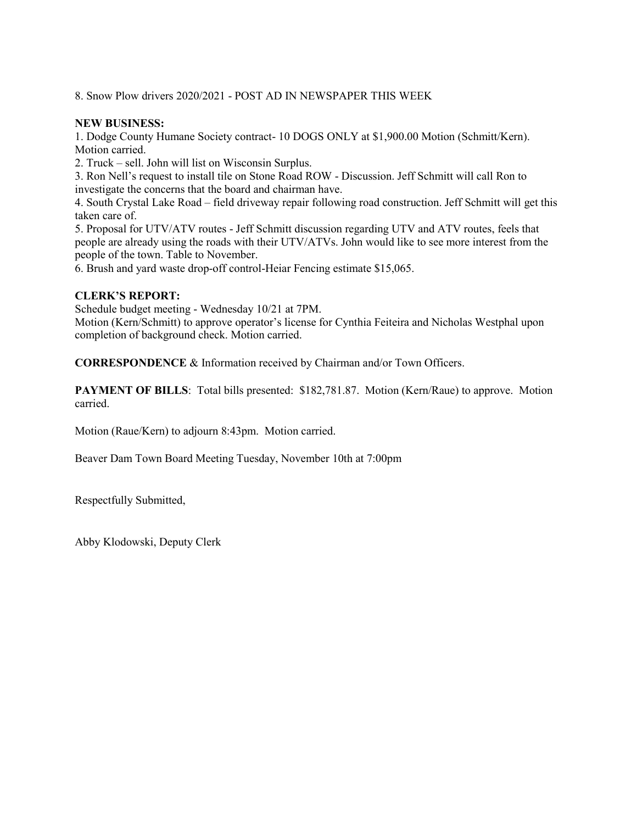8. Snow Plow drivers 2020/2021 - POST AD IN NEWSPAPER THIS WEEK

### **NEW BUSINESS:**

1. Dodge County Humane Society contract- 10 DOGS ONLY at \$1,900.00 Motion (Schmitt/Kern). Motion carried.

2. Truck – sell. John will list on Wisconsin Surplus.

3. Ron Nell's request to install tile on Stone Road ROW - Discussion. Jeff Schmitt will call Ron to investigate the concerns that the board and chairman have.

4. South Crystal Lake Road – field driveway repair following road construction. Jeff Schmitt will get this taken care of.

5. Proposal for UTV/ATV routes - Jeff Schmitt discussion regarding UTV and ATV routes, feels that people are already using the roads with their UTV/ATVs. John would like to see more interest from the people of the town. Table to November.

6. Brush and yard waste drop-off control-Heiar Fencing estimate \$15,065.

#### **CLERK'S REPORT:**

Schedule budget meeting - Wednesday 10/21 at 7PM.

Motion (Kern/Schmitt) to approve operator's license for Cynthia Feiteira and Nicholas Westphal upon completion of background check. Motion carried.

**CORRESPONDENCE** & Information received by Chairman and/or Town Officers.

**PAYMENT OF BILLS:** Total bills presented: \$182,781.87. Motion (Kern/Raue) to approve. Motion carried.

Motion (Raue/Kern) to adjourn 8:43pm. Motion carried.

Beaver Dam Town Board Meeting Tuesday, November 10th at 7:00pm

Respectfully Submitted,

Abby Klodowski, Deputy Clerk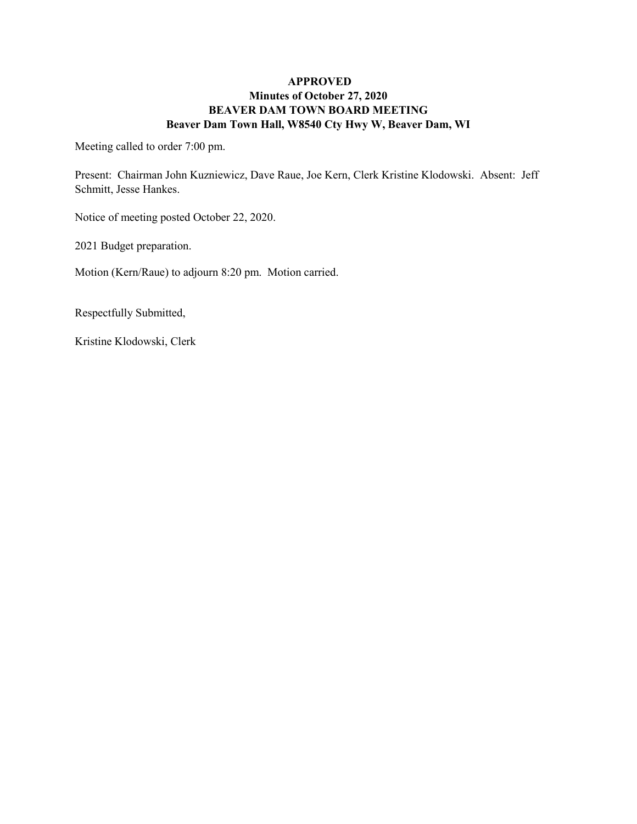## **APPROVED Minutes of October 27, 2020 BEAVER DAM TOWN BOARD MEETING Beaver Dam Town Hall, W8540 Cty Hwy W, Beaver Dam, WI**

Meeting called to order 7:00 pm.

Present: Chairman John Kuzniewicz, Dave Raue, Joe Kern, Clerk Kristine Klodowski. Absent: Jeff Schmitt, Jesse Hankes.

Notice of meeting posted October 22, 2020.

2021 Budget preparation.

Motion (Kern/Raue) to adjourn 8:20 pm. Motion carried.

Respectfully Submitted,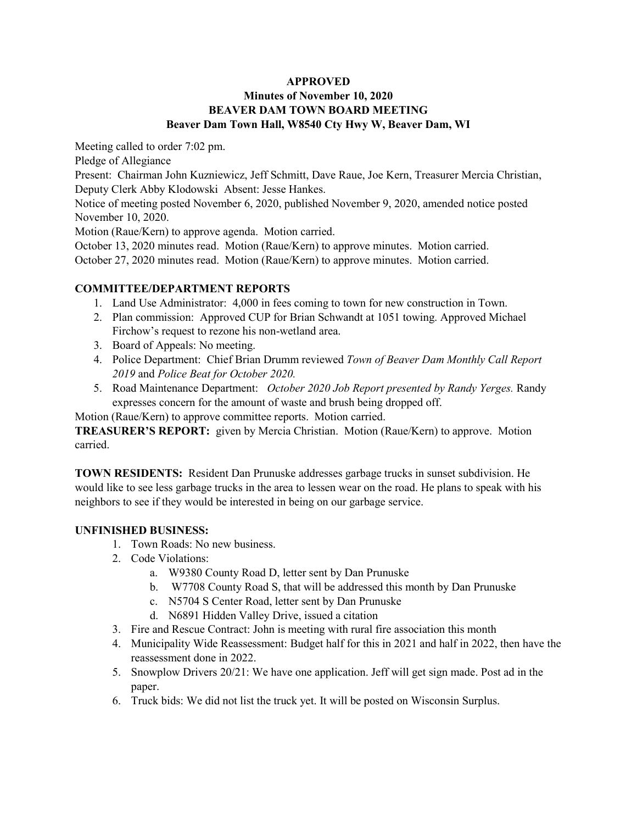### **APPROVED Minutes of November 10, 2020 BEAVER DAM TOWN BOARD MEETING Beaver Dam Town Hall, W8540 Cty Hwy W, Beaver Dam, WI**

Meeting called to order 7:02 pm.

Pledge of Allegiance

Present: Chairman John Kuzniewicz, Jeff Schmitt, Dave Raue, Joe Kern, Treasurer Mercia Christian, Deputy Clerk Abby Klodowski Absent: Jesse Hankes.

Notice of meeting posted November 6, 2020, published November 9, 2020, amended notice posted November 10, 2020.

Motion (Raue/Kern) to approve agenda. Motion carried.

October 13, 2020 minutes read. Motion (Raue/Kern) to approve minutes. Motion carried. October 27, 2020 minutes read. Motion (Raue/Kern) to approve minutes. Motion carried.

# **COMMITTEE/DEPARTMENT REPORTS**

- 1. Land Use Administrator: 4,000 in fees coming to town for new construction in Town.
- 2. Plan commission: Approved CUP for Brian Schwandt at 1051 towing. Approved Michael Firchow's request to rezone his non-wetland area.
- 3. Board of Appeals: No meeting.
- 4. Police Department: Chief Brian Drumm reviewed *Town of Beaver Dam Monthly Call Report 2019* and *Police Beat for October 2020.*
- 5. Road Maintenance Department: *October 2020 Job Report presented by Randy Yerges.* Randy expresses concern for the amount of waste and brush being dropped off.

Motion (Raue/Kern) to approve committee reports. Motion carried.

**TREASURER'S REPORT:** given by Mercia Christian. Motion (Raue/Kern) to approve. Motion carried.

**TOWN RESIDENTS:** Resident Dan Prunuske addresses garbage trucks in sunset subdivision. He would like to see less garbage trucks in the area to lessen wear on the road. He plans to speak with his neighbors to see if they would be interested in being on our garbage service.

# **UNFINISHED BUSINESS:**

- 1. Town Roads: No new business.
- 2. Code Violations:
	- a. W9380 County Road D, letter sent by Dan Prunuske
	- b. W7708 County Road S, that will be addressed this month by Dan Prunuske
	- c. N5704 S Center Road, letter sent by Dan Prunuske
	- d. N6891 Hidden Valley Drive, issued a citation
- 3. Fire and Rescue Contract: John is meeting with rural fire association this month
- 4. Municipality Wide Reassessment: Budget half for this in 2021 and half in 2022, then have the reassessment done in 2022.
- 5. Snowplow Drivers 20/21: We have one application. Jeff will get sign made. Post ad in the paper.
- 6. Truck bids: We did not list the truck yet. It will be posted on Wisconsin Surplus.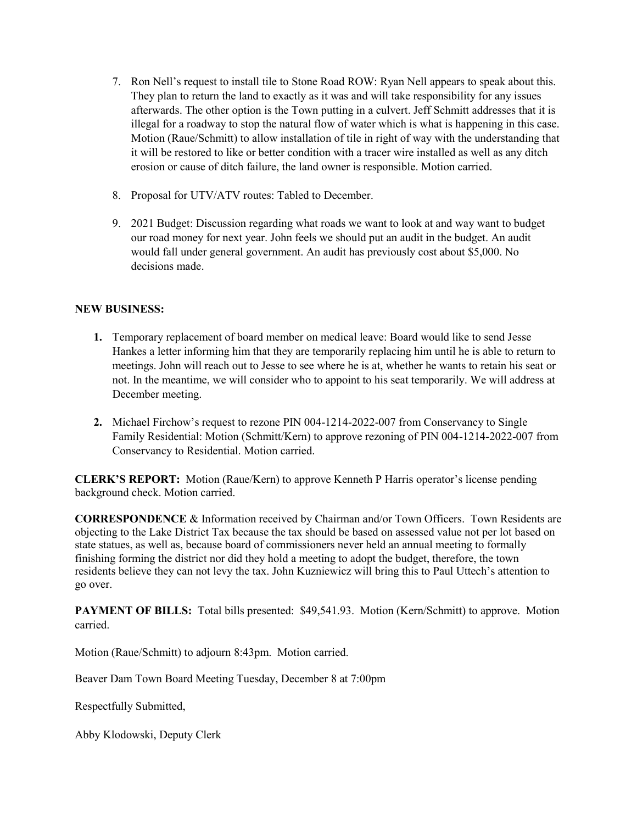- 7. Ron Nell's request to install tile to Stone Road ROW: Ryan Nell appears to speak about this. They plan to return the land to exactly as it was and will take responsibility for any issues afterwards. The other option is the Town putting in a culvert. Jeff Schmitt addresses that it is illegal for a roadway to stop the natural flow of water which is what is happening in this case. Motion (Raue/Schmitt) to allow installation of tile in right of way with the understanding that it will be restored to like or better condition with a tracer wire installed as well as any ditch erosion or cause of ditch failure, the land owner is responsible. Motion carried.
- 8. Proposal for UTV/ATV routes: Tabled to December.
- 9. 2021 Budget: Discussion regarding what roads we want to look at and way want to budget our road money for next year. John feels we should put an audit in the budget. An audit would fall under general government. An audit has previously cost about \$5,000. No decisions made

## **NEW BUSINESS:**

- **1.** Temporary replacement of board member on medical leave: Board would like to send Jesse Hankes a letter informing him that they are temporarily replacing him until he is able to return to meetings. John will reach out to Jesse to see where he is at, whether he wants to retain his seat or not. In the meantime, we will consider who to appoint to his seat temporarily. We will address at December meeting.
- **2.** Michael Firchow's request to rezone PIN 004-1214-2022-007 from Conservancy to Single Family Residential: Motion (Schmitt/Kern) to approve rezoning of PIN 004-1214-2022-007 from Conservancy to Residential. Motion carried.

**CLERK'S REPORT:** Motion (Raue/Kern) to approve Kenneth P Harris operator's license pending background check. Motion carried.

**CORRESPONDENCE** & Information received by Chairman and/or Town Officers. Town Residents are objecting to the Lake District Tax because the tax should be based on assessed value not per lot based on state statues, as well as, because board of commissioners never held an annual meeting to formally finishing forming the district nor did they hold a meeting to adopt the budget, therefore, the town residents believe they can not levy the tax. John Kuzniewicz will bring this to Paul Uttech's attention to go over.

**PAYMENT OF BILLS:** Total bills presented: \$49,541.93. Motion (Kern/Schmitt) to approve. Motion carried.

Motion (Raue/Schmitt) to adjourn 8:43pm. Motion carried.

Beaver Dam Town Board Meeting Tuesday, December 8 at 7:00pm

Respectfully Submitted,

Abby Klodowski, Deputy Clerk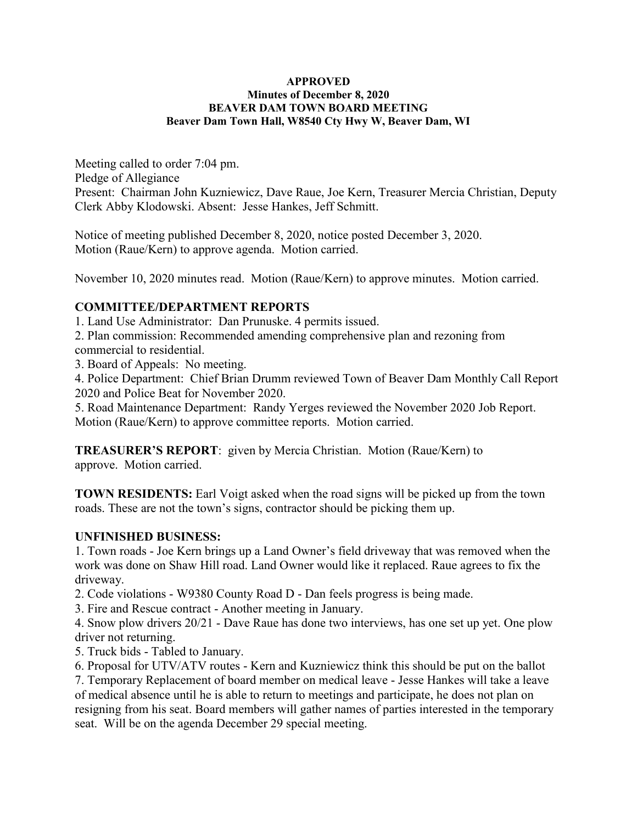#### **APPROVED Minutes of December 8, 2020 BEAVER DAM TOWN BOARD MEETING Beaver Dam Town Hall, W8540 Cty Hwy W, Beaver Dam, WI**

Meeting called to order 7:04 pm. Pledge of Allegiance Present: Chairman John Kuzniewicz, Dave Raue, Joe Kern, Treasurer Mercia Christian, Deputy Clerk Abby Klodowski. Absent: Jesse Hankes, Jeff Schmitt.

Notice of meeting published December 8, 2020, notice posted December 3, 2020. Motion (Raue/Kern) to approve agenda. Motion carried.

November 10, 2020 minutes read. Motion (Raue/Kern) to approve minutes. Motion carried.

# **COMMITTEE/DEPARTMENT REPORTS**

1. Land Use Administrator: Dan Prunuske. 4 permits issued.

2. Plan commission: Recommended amending comprehensive plan and rezoning from commercial to residential.

3. Board of Appeals: No meeting.

4. Police Department: Chief Brian Drumm reviewed Town of Beaver Dam Monthly Call Report 2020 and Police Beat for November 2020.

5. Road Maintenance Department: Randy Yerges reviewed the November 2020 Job Report. Motion (Raue/Kern) to approve committee reports. Motion carried.

**TREASURER'S REPORT**: given by Mercia Christian. Motion (Raue/Kern) to approve. Motion carried.

**TOWN RESIDENTS:** Earl Voigt asked when the road signs will be picked up from the town roads. These are not the town's signs, contractor should be picking them up.

## **UNFINISHED BUSINESS:**

1. Town roads - Joe Kern brings up a Land Owner's field driveway that was removed when the work was done on Shaw Hill road. Land Owner would like it replaced. Raue agrees to fix the driveway.

2. Code violations - W9380 County Road D - Dan feels progress is being made.

3. Fire and Rescue contract - Another meeting in January.

4. Snow plow drivers 20/21 - Dave Raue has done two interviews, has one set up yet. One plow driver not returning.

5. Truck bids - Tabled to January.

6. Proposal for UTV/ATV routes - Kern and Kuzniewicz think this should be put on the ballot

7. Temporary Replacement of board member on medical leave - Jesse Hankes will take a leave of medical absence until he is able to return to meetings and participate, he does not plan on resigning from his seat. Board members will gather names of parties interested in the temporary seat. Will be on the agenda December 29 special meeting.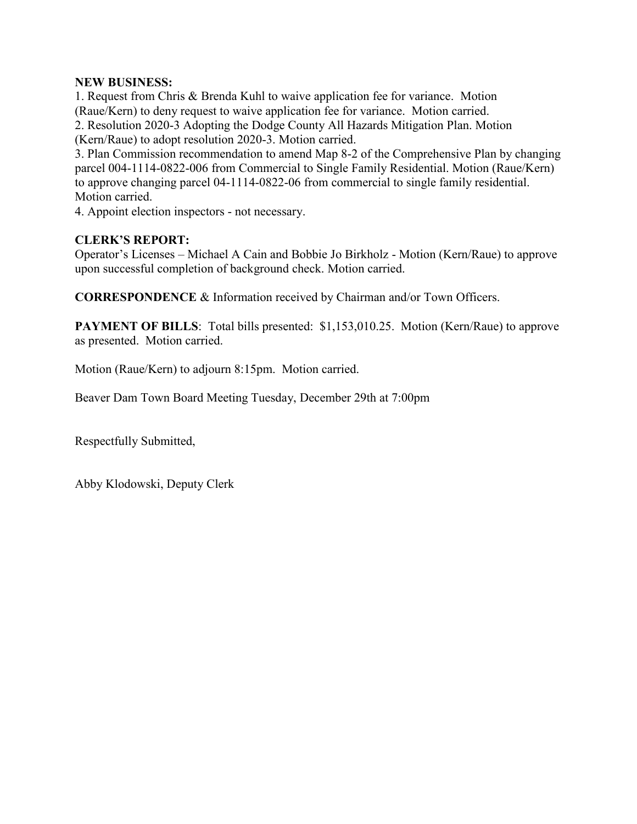## **NEW BUSINESS:**

1. Request from Chris & Brenda Kuhl to waive application fee for variance. Motion (Raue/Kern) to deny request to waive application fee for variance. Motion carried. 2. Resolution 2020-3 Adopting the Dodge County All Hazards Mitigation Plan. Motion (Kern/Raue) to adopt resolution 2020-3. Motion carried.

3. Plan Commission recommendation to amend Map 8-2 of the Comprehensive Plan by changing parcel 004-1114-0822-006 from Commercial to Single Family Residential. Motion (Raue/Kern) to approve changing parcel 04-1114-0822-06 from commercial to single family residential. Motion carried.

4. Appoint election inspectors - not necessary.

# **CLERK'S REPORT:**

Operator's Licenses – Michael A Cain and Bobbie Jo Birkholz - Motion (Kern/Raue) to approve upon successful completion of background check. Motion carried.

**CORRESPONDENCE** & Information received by Chairman and/or Town Officers.

**PAYMENT OF BILLS:** Total bills presented: \$1,153,010.25. Motion (Kern/Raue) to approve as presented. Motion carried.

Motion (Raue/Kern) to adjourn 8:15pm. Motion carried.

Beaver Dam Town Board Meeting Tuesday, December 29th at 7:00pm

Respectfully Submitted,

Abby Klodowski, Deputy Clerk